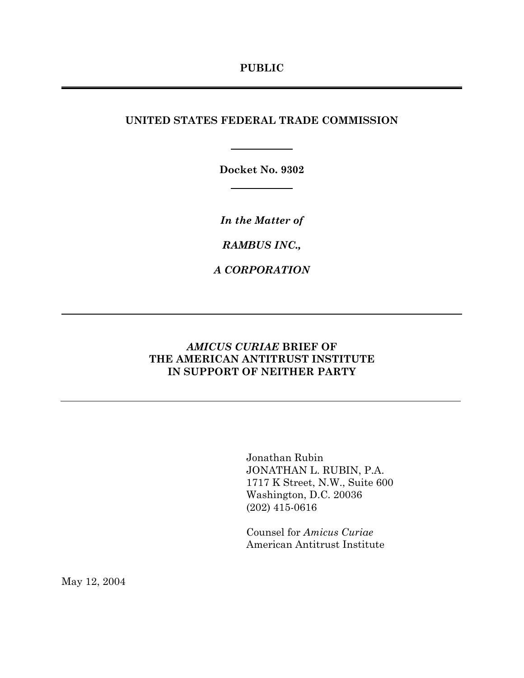## UNITED STATES FEDERAL TRADE COMMISSION

Docket No. 9302

In the Matter of

RAMBUS INC.,

A CORPORATION

## **AMICUS CURIAE BRIEF OF** THE AMERICAN ANTITRUST INSTITUTE IN SUPPORT OF NEITHER PARTY

Jonathan Rubin JONATHAN L. RUBIN, P.A. 1717 K Street, N.W., Suite 600 Washington, D.C. 20036  $(202)$  415-0616

Counsel for Amicus Curiae American Antitrust Institute

May 12, 2004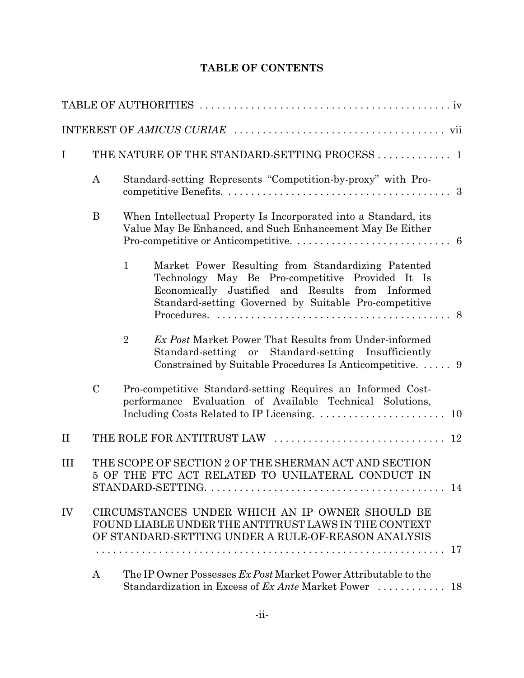## TABLE OF CONTENTS

| $\bf{I}$ |                                                                                                                  |                                                                                                                              | THE NATURE OF THE STANDARD-SETTING PROCESS  1                                                                                                                                                                       |    |  |
|----------|------------------------------------------------------------------------------------------------------------------|------------------------------------------------------------------------------------------------------------------------------|---------------------------------------------------------------------------------------------------------------------------------------------------------------------------------------------------------------------|----|--|
|          | $\boldsymbol{A}$                                                                                                 | Standard-setting Represents "Competition-by-proxy" with Pro-                                                                 |                                                                                                                                                                                                                     |    |  |
|          | B                                                                                                                | When Intellectual Property Is Incorporated into a Standard, its<br>Value May Be Enhanced, and Such Enhancement May Be Either |                                                                                                                                                                                                                     |    |  |
|          |                                                                                                                  | $\mathbf{1}$                                                                                                                 | Market Power Resulting from Standardizing Patented<br>Technology May Be Pro-competitive Provided It Is<br>Economically Justified and Results from Informed<br>Standard-setting Governed by Suitable Pro-competitive |    |  |
|          |                                                                                                                  | $\overline{2}$                                                                                                               | <i>Ex Post</i> Market Power That Results from Under-informed<br>Standard-setting or Standard-setting Insufficiently<br>Constrained by Suitable Procedures Is Anticompetitive.  9                                    |    |  |
|          | $\mathcal{C}$                                                                                                    |                                                                                                                              | Pro-competitive Standard-setting Requires an Informed Cost-<br>performance Evaluation of Available Technical Solutions,                                                                                             |    |  |
| $\rm II$ |                                                                                                                  |                                                                                                                              |                                                                                                                                                                                                                     |    |  |
| III      | THE SCOPE OF SECTION 2 OF THE SHERMAN ACT AND SECTION<br>5 OF THE FTC ACT RELATED TO UNILATERAL CONDUCT IN<br>14 |                                                                                                                              |                                                                                                                                                                                                                     |    |  |
| IV       |                                                                                                                  |                                                                                                                              | CIRCUMSTANCES UNDER WHICH AN IP OWNER SHOULD BE<br>FOUND LIABLE UNDER THE ANTITRUST LAWS IN THE CONTEXT<br>OF STANDARD-SETTING UNDER A RULE-OF-REASON ANALYSIS                                                      | 17 |  |
|          | A                                                                                                                |                                                                                                                              | The IP Owner Possesses Ex Post Market Power Attributable to the                                                                                                                                                     |    |  |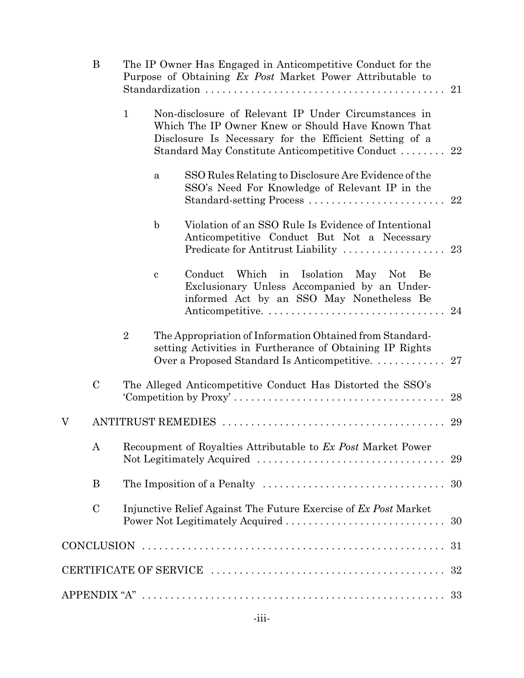|   | B             | The IP Owner Has Engaged in Anticompetitive Conduct for the<br>Purpose of Obtaining Ex Post Market Power Attributable to<br>21 |                                                                                                                                                                                                                              |                                                                                                                                                                     |     |  |  |  |
|---|---------------|--------------------------------------------------------------------------------------------------------------------------------|------------------------------------------------------------------------------------------------------------------------------------------------------------------------------------------------------------------------------|---------------------------------------------------------------------------------------------------------------------------------------------------------------------|-----|--|--|--|
|   |               | $\mathbf{1}$                                                                                                                   | Non-disclosure of Relevant IP Under Circumstances in<br>Which The IP Owner Knew or Should Have Known That<br>Disclosure Is Necessary for the Efficient Setting of a<br>Standard May Constitute Anticompetitive Conduct<br>22 |                                                                                                                                                                     |     |  |  |  |
|   |               |                                                                                                                                | a                                                                                                                                                                                                                            | SSO Rules Relating to Disclosure Are Evidence of the<br>SSO's Need For Knowledge of Relevant IP in the<br>Standard-setting Process                                  | 22  |  |  |  |
|   |               |                                                                                                                                | $\mathbf b$                                                                                                                                                                                                                  | Violation of an SSO Rule Is Evidence of Intentional<br>Anticompetitive Conduct But Not a Necessary<br>Predicate for Antitrust Liability                             | 23  |  |  |  |
|   |               |                                                                                                                                | $\mathbf c$                                                                                                                                                                                                                  | Which<br>in<br>Isolation<br>May Not<br>Conduct<br>Be<br>Exclusionary Unless Accompanied by an Under-<br>informed Act by an SSO May Nonetheless Be                   | -24 |  |  |  |
|   |               | $\overline{2}$                                                                                                                 |                                                                                                                                                                                                                              | The Appropriation of Information Obtained from Standard-<br>setting Activities in Furtherance of Obtaining IP Rights<br>Over a Proposed Standard Is Anticompetitive | 27  |  |  |  |
|   | $\mathbf C$   |                                                                                                                                |                                                                                                                                                                                                                              | The Alleged Anticompetitive Conduct Has Distorted the SSO's                                                                                                         | 28  |  |  |  |
| V |               |                                                                                                                                |                                                                                                                                                                                                                              |                                                                                                                                                                     | 29  |  |  |  |
|   | A             | Recoupment of Royalties Attributable to Ex Post Market Power                                                                   |                                                                                                                                                                                                                              |                                                                                                                                                                     |     |  |  |  |
|   | B             |                                                                                                                                |                                                                                                                                                                                                                              | The Imposition of a Penalty $\dots\dots\dots\dots\dots\dots\dots\dots\dots\dots\dots 30$                                                                            |     |  |  |  |
|   | $\mathcal{C}$ |                                                                                                                                |                                                                                                                                                                                                                              | Injunctive Relief Against The Future Exercise of Ex Post Market<br>Power Not Legitimately Acquired                                                                  | 30  |  |  |  |
|   |               |                                                                                                                                |                                                                                                                                                                                                                              |                                                                                                                                                                     |     |  |  |  |
|   |               |                                                                                                                                |                                                                                                                                                                                                                              |                                                                                                                                                                     | 32  |  |  |  |
|   |               |                                                                                                                                |                                                                                                                                                                                                                              |                                                                                                                                                                     |     |  |  |  |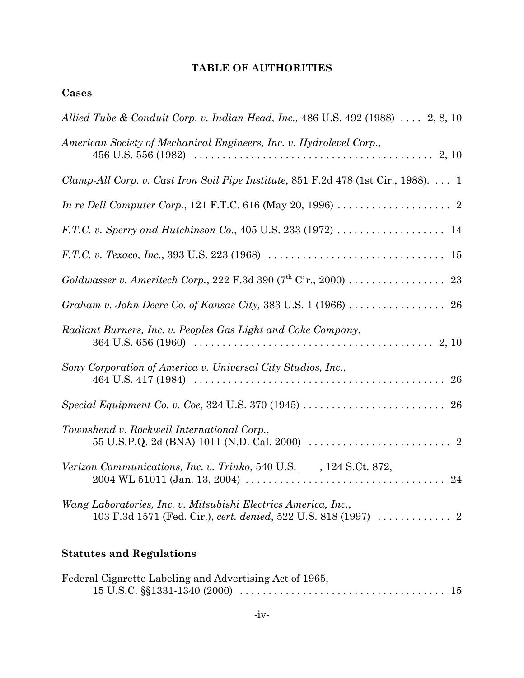## TABLE OF AUTHORITIES

## Cases

| Allied Tube & Conduit Corp. v. Indian Head, Inc., 486 U.S. 492 (1988) $\ldots$ 2, 8, 10               |
|-------------------------------------------------------------------------------------------------------|
| American Society of Mechanical Engineers, Inc. v. Hydrolevel Corp.,                                   |
| Clamp-All Corp. v. Cast Iron Soil Pipe Institute, 851 F.2d 478 (1st Cir., 1988). 1                    |
| <i>In re Dell Computer Corp.</i> , 121 F.T.C. 616 (May 20, 1996) $\ldots \ldots \ldots \ldots \ldots$ |
|                                                                                                       |
|                                                                                                       |
| Goldwasser v. Ameritech Corp., 222 F.3d 390 ( $7th$ Cir., 2000) 23                                    |
|                                                                                                       |
| Radiant Burners, Inc. v. Peoples Gas Light and Coke Company,                                          |
| Sony Corporation of America v. Universal City Studios, Inc.,<br>26                                    |
|                                                                                                       |
| Townshend v. Rockwell International Corp.,                                                            |
| Verizon Communications, Inc. v. Trinko, 540 U.S. ___, 124 S.Ct. 872,                                  |
| Wang Laboratories, Inc. v. Mitsubishi Electrics America, Inc.,                                        |

# **Statutes and Regulations**

| Federal Cigarette Labeling and Advertising Act of 1965, |  |
|---------------------------------------------------------|--|
|                                                         |  |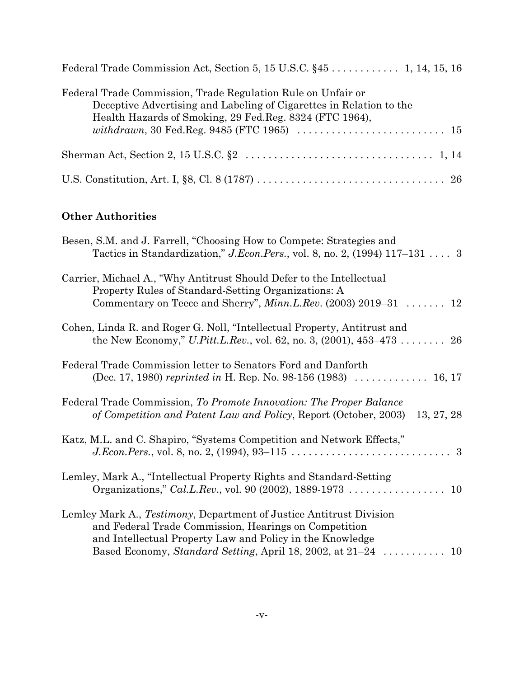| Federal Trade Commission, Trade Regulation Rule on Unfair or<br>Deceptive Advertising and Labeling of Cigarettes in Relation to the<br>Health Hazards of Smoking, 29 Fed. Reg. 8324 (FTC 1964), |
|-------------------------------------------------------------------------------------------------------------------------------------------------------------------------------------------------|
|                                                                                                                                                                                                 |
|                                                                                                                                                                                                 |

## **Other Authorities**

| Besen, S.M. and J. Farrell, "Choosing How to Compete: Strategies and<br>Tactics in Standardization," J.Econ.Pers., vol. 8, no. 2, (1994) 117–131  3                                              |
|--------------------------------------------------------------------------------------------------------------------------------------------------------------------------------------------------|
| Carrier, Michael A., "Why Antitrust Should Defer to the Intellectual<br>Property Rules of Standard-Setting Organizations: A<br>Commentary on Teece and Sherry", $Minn.L.Rev.$ (2003) 2019–31  12 |
| Cohen, Linda R. and Roger G. Noll, "Intellectual Property, Antitrust and<br>the New Economy," U.Pitt.L.Rev., vol. 62, no. 3, (2001), $453-473$ 26                                                |
| Federal Trade Commission letter to Senators Ford and Danforth<br>(Dec. 17, 1980) reprinted in H. Rep. No. 98-156 (1983) $\dots \dots \dots \dots 16, 17$                                         |
| Federal Trade Commission, To Promote Innovation: The Proper Balance<br>13, 27, 28<br>of Competition and Patent Law and Policy, Report (October, 2003)                                            |
| Katz, M.L. and C. Shapiro, "Systems Competition and Network Effects,"                                                                                                                            |
| Lemley, Mark A., "Intellectual Property Rights and Standard-Setting                                                                                                                              |
| Lemley Mark A., Testimony, Department of Justice Antitrust Division<br>and Federal Trade Commission, Hearings on Competition<br>and Intellectual Property Law and Policy in the Knowledge        |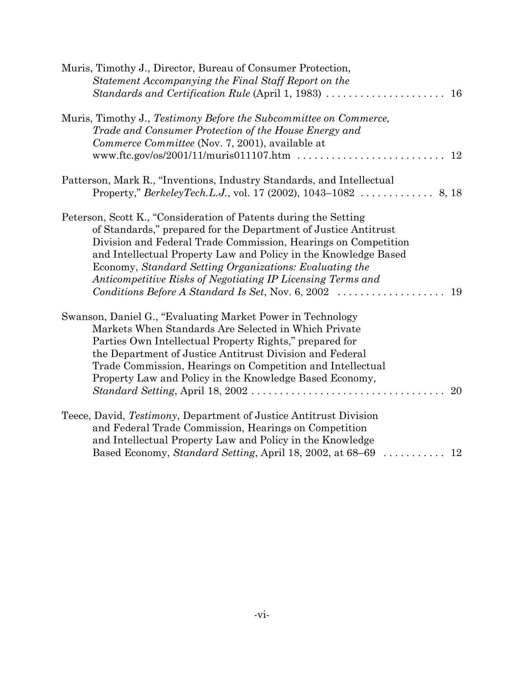| Muris, Timothy J., Director, Bureau of Consumer Protection,                                  |  |
|----------------------------------------------------------------------------------------------|--|
| Statement Accompanying the Final Staff Report on the                                         |  |
| Standards and Certification Rule (April 1, 1983)<br>16                                       |  |
| Muris, Timothy J., Testimony Before the Subcommittee on Commerce,                            |  |
| Trade and Consumer Protection of the House Energy and                                        |  |
| Commerce Committee (Nov. 7, 2001), available at                                              |  |
| 12                                                                                           |  |
| Patterson, Mark R., "Inventions, Industry Standards, and Intellectual                        |  |
|                                                                                              |  |
| Peterson, Scott K., "Consideration of Patents during the Setting                             |  |
| of Standards," prepared for the Department of Justice Antitrust                              |  |
| Division and Federal Trade Commission, Hearings on Competition                               |  |
| and Intellectual Property Law and Policy in the Knowledge Based                              |  |
| Economy, Standard Setting Organizations: Evaluating the                                      |  |
| Anticompetitive Risks of Negotiating IP Licensing Terms and                                  |  |
| Conditions Before A Standard Is Set, Nov. 6, 2002 $\ldots \ldots \ldots \ldots \ldots$<br>19 |  |
|                                                                                              |  |
| Swanson, Daniel G., "Evaluating Market Power in Technology                                   |  |
| Markets When Standards Are Selected in Which Private                                         |  |
| Parties Own Intellectual Property Rights," prepared for                                      |  |
| the Department of Justice Antitrust Division and Federal                                     |  |
| Trade Commission, Hearings on Competition and Intellectual                                   |  |
| Property Law and Policy in the Knowledge Based Economy,                                      |  |
| 20                                                                                           |  |
| Teece, David, Testimony, Department of Justice Antitrust Division                            |  |
| and Federal Trade Commission, Hearings on Competition                                        |  |
| and Intellectual Property Law and Policy in the Knowledge                                    |  |
| Based Economy, Standard Setting, April 18, 2002, at 68–69<br>$\ldots \ldots \ldots 12$       |  |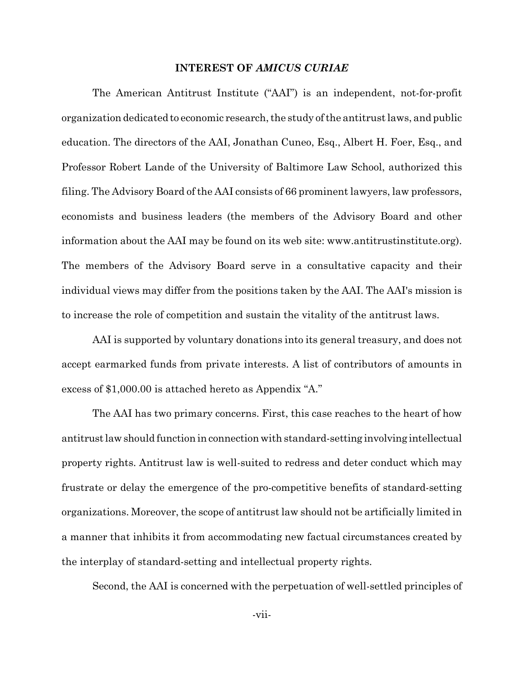### **INTEREST OF AMICUS CURIAE**

The American Antitrust Institute ("AAI") is an independent, not-for-profit organization dedicated to economic research, the study of the antitrust laws, and public education. The directors of the AAI, Jonathan Cuneo, Esq., Albert H. Foer, Esq., and Professor Robert Lande of the University of Baltimore Law School, authorized this filing. The Advisory Board of the AAI consists of 66 prominent lawyers, law professors, economists and business leaders (the members of the Advisory Board and other information about the AAI may be found on its web site: www.antitrustinstitute.org). The members of the Advisory Board serve in a consultative capacity and their individual views may differ from the positions taken by the AAI. The AAI's mission is to increase the role of competition and sustain the vitality of the antitrust laws.

AAI is supported by voluntary donations into its general treasury, and does not accept earmarked funds from private interests. A list of contributors of amounts in excess of \$1,000.00 is attached hereto as Appendix "A."

The AAI has two primary concerns. First, this case reaches to the heart of how antitrust law should function in connection with standard-setting involving intellectual property rights. Antitrust law is well-suited to redress and deter conduct which may frustrate or delay the emergence of the pro-competitive benefits of standard-setting organizations. Moreover, the scope of antitrust law should not be artificially limited in a manner that inhibits it from accommodating new factual circumstances created by the interplay of standard-setting and intellectual property rights.

Second, the AAI is concerned with the perpetuation of well-settled principles of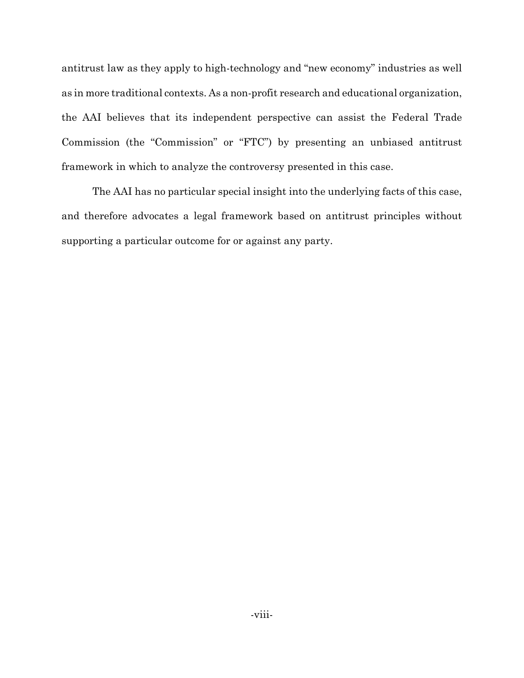antitrust law as they apply to high-technology and "new economy" industries as well as in more traditional contexts. As a non-profit research and educational organization, the AAI believes that its independent perspective can assist the Federal Trade Commission (the "Commission" or "FTC") by presenting an unbiased antitrust framework in which to analyze the controversy presented in this case.

The AAI has no particular special insight into the underlying facts of this case, and therefore advocates a legal framework based on antitrust principles without supporting a particular outcome for or against any party.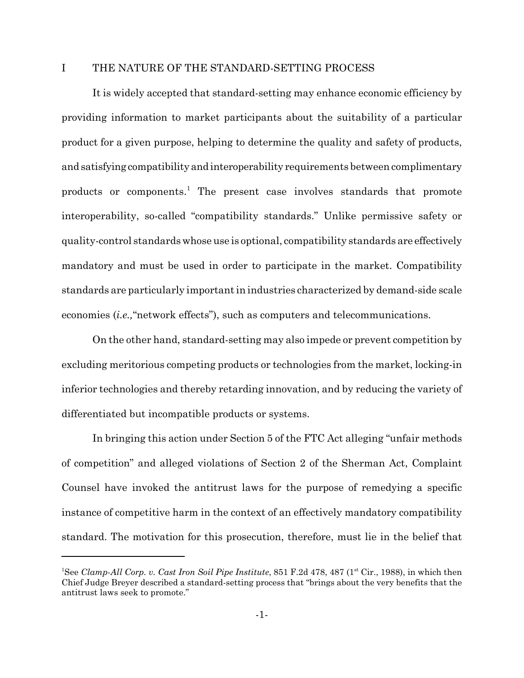#### $\mathbf{I}$ THE NATURE OF THE STANDARD-SETTING PROCESS

It is widely accepted that standard-setting may enhance economic efficiency by providing information to market participants about the suitability of a particular product for a given purpose, helping to determine the quality and safety of products, and satisfying compatibility and interoperability requirements between complimentary products or components.<sup>1</sup> The present case involves standards that promote interoperability, so-called "compatibility standards." Unlike permissive safety or quality-control standards whose use is optional, compatibility standards are effectively mandatory and must be used in order to participate in the market. Compatibility standards are particularly important in industries characterized by demand-side scale economies *(i.e.,* "network effects"), such as computers and telecommunications.

On the other hand, standard-setting may also impede or prevent competition by excluding meritorious competing products or technologies from the market, locking-in inferior technologies and thereby retarding innovation, and by reducing the variety of differentiated but incompatible products or systems.

In bringing this action under Section 5 of the FTC Act alleging "unfair methods" of competition" and alleged violations of Section 2 of the Sherman Act, Complaint Counsel have invoked the antitrust laws for the purpose of remedying a specific instance of competitive harm in the context of an effectively mandatory compatibility standard. The motivation for this prosecution, therefore, must lie in the belief that

<sup>&</sup>lt;sup>1</sup>See Clamp-All Corp. v. Cast Iron Soil Pipe Institute, 851 F.2d 478, 487 (1<sup>st</sup> Cir., 1988), in which then Chief Judge Breyer described a standard-setting process that "brings about the very benefits that the antitrust laws seek to promote."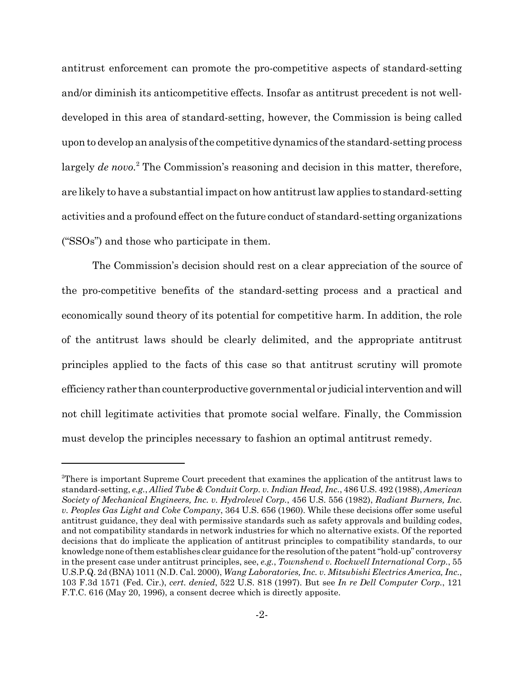antitrust enforcement can promote the pro-competitive aspects of standard-setting and/or diminish its anticompetitive effects. Insofar as antitrust precedent is not welldeveloped in this area of standard-setting, however, the Commission is being called upon to develop an analysis of the competitive dynamics of the standard-setting process largely de novo.<sup>2</sup> The Commission's reasoning and decision in this matter, therefore, are likely to have a substantial impact on how antitrust law applies to standard-setting activities and a profound effect on the future conduct of standard-setting organizations (" $SSOs$ ") and those who participate in them.

The Commission's decision should rest on a clear appreciation of the source of the pro-competitive benefits of the standard-setting process and a practical and economically sound theory of its potential for competitive harm. In addition, the role of the antitrust laws should be clearly delimited, and the appropriate antitrust principles applied to the facts of this case so that antitrust scrutiny will promote efficiency rather than counterproductive governmental or judicial intervention and will not chill legitimate activities that promote social welfare. Finally, the Commission must develop the principles necessary to fashion an optimal antitrust remedy.

<sup>&</sup>lt;sup>2</sup>There is important Supreme Court precedent that examines the application of the antitrust laws to standard-setting, e.g., Allied Tube & Conduit Corp. v. Indian Head, Inc., 486 U.S. 492 (1988), American Society of Mechanical Engineers, Inc. v. Hydrolevel Corp., 456 U.S. 556 (1982), Radiant Burners, Inc. v. Peoples Gas Light and Coke Company, 364 U.S. 656 (1960). While these decisions offer some useful antitrust guidance, they deal with permissive standards such as safety approvals and building codes, and not compatibility standards in network industries for which no alternative exists. Of the reported decisions that do implicate the application of antitrust principles to compatibility standards, to our knowledge none of them establishes clear guidance for the resolution of the patent "hold-up" controversy in the present case under antitrust principles, see, e.g., Townshend v. Rockwell International Corp., 55 U.S.P.Q. 2d (BNA) 1011 (N.D. Cal. 2000), Wang Laboratories, Inc. v. Mitsubishi Electrics America, Inc., 103 F.3d 1571 (Fed. Cir.), cert. denied, 522 U.S. 818 (1997). But see In re Dell Computer Corp., 121 F.T.C. 616 (May 20, 1996), a consent decree which is directly apposite.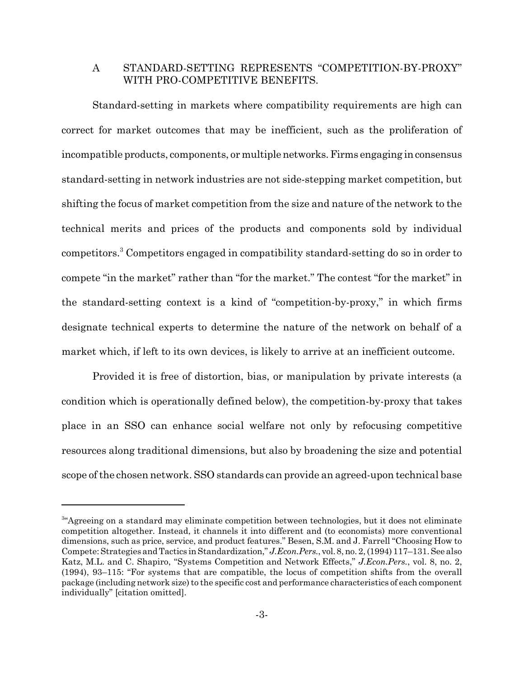#### STANDARD-SETTING REPRESENTS "COMPETITION-BY-PROXY"  $\rm A$ WITH PRO-COMPETITIVE BENEFITS.

Standard-setting in markets where compatibility requirements are high can correct for market outcomes that may be inefficient, such as the proliferation of incompatible products, components, or multiple networks. Firms engaging in consensus standard-setting in network industries are not side-stepping market competition, but shifting the focus of market competition from the size and nature of the network to the technical merits and prices of the products and components sold by individual competitors.<sup>3</sup> Competitors engaged in compatibility standard-setting do so in order to compete "in the market" rather than "for the market." The contest "for the market" in the standard-setting context is a kind of "competition-by-proxy," in which firms designate technical experts to determine the nature of the network on behalf of a market which, if left to its own devices, is likely to arrive at an inefficient outcome.

Provided it is free of distortion, bias, or manipulation by private interests (a condition which is operationally defined below), the competition-by-proxy that takes place in an SSO can enhance social welfare not only by refocusing competitive resources along traditional dimensions, but also by broadening the size and potential scope of the chosen network. SSO standards can provide an agreed-upon technical base

<sup>&</sup>lt;sup>3"</sup>Agreeing on a standard may eliminate competition between technologies, but it does not eliminate competition altogether. Instead, it channels it into different and (to economists) more conventional dimensions, such as price, service, and product features." Besen, S.M. and J. Farrell "Choosing How to Compete: Strategies and Tactics in Standardization," J.Econ.Pers., vol. 8, no. 2, (1994) 117-131. See also Katz, M.L. and C. Shapiro, "Systems Competition and Network Effects," J.Econ.Pers., vol. 8, no. 2, (1994), 93–115: "For systems that are compatible, the locus of competition shifts from the overall package (including network size) to the specific cost and performance characteristics of each component individually" [citation omitted].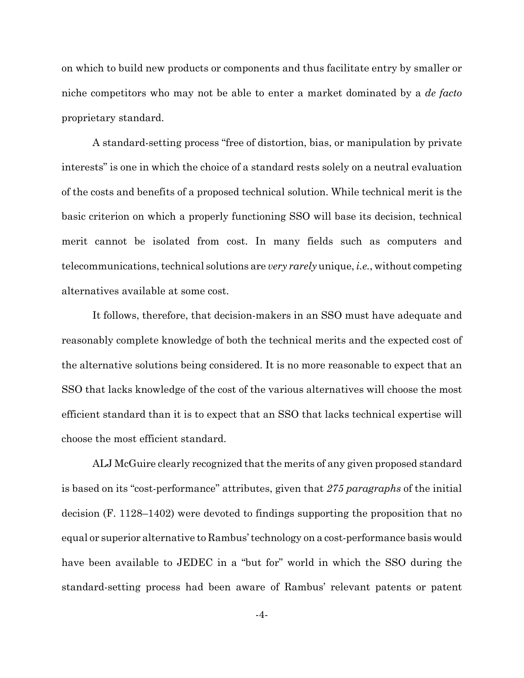on which to build new products or components and thus facilitate entry by smaller or niche competitors who may not be able to enter a market dominated by a *de facto* proprietary standard.

A standard-setting process "free of distortion, bias, or manipulation by private interests" is one in which the choice of a standard rests solely on a neutral evaluation of the costs and benefits of a proposed technical solution. While technical merit is the basic criterion on which a properly functioning SSO will base its decision, technical merit cannot be isolated from cost. In many fields such as computers and telecommunications, technical solutions are *very rarely* unique, *i.e.*, without competing alternatives available at some cost.

It follows, therefore, that decision-makers in an SSO must have adequate and reasonably complete knowledge of both the technical merits and the expected cost of the alternative solutions being considered. It is no more reasonable to expect that an SSO that lacks knowledge of the cost of the various alternatives will choose the most efficient standard than it is to expect that an SSO that lacks technical expertise will choose the most efficient standard.

ALJ McGuire clearly recognized that the merits of any given proposed standard is based on its "cost-performance" attributes, given that 275 paragraphs of the initial decision  $(F. 1128-1402)$  were devoted to findings supporting the proposition that no equal or superior alternative to Rambus' technology on a cost-performance basis would have been available to JEDEC in a "but for" world in which the SSO during the standard-setting process had been aware of Rambus' relevant patents or patent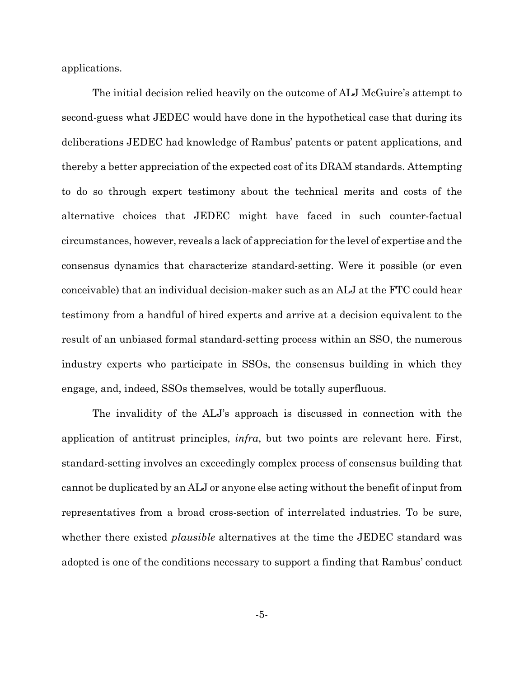applications.

The initial decision relied heavily on the outcome of ALJ McGuire's attempt to second-guess what JEDEC would have done in the hypothetical case that during its deliberations JEDEC had knowledge of Rambus' patents or patent applications, and thereby a better appreciation of the expected cost of its DRAM standards. Attempting to do so through expert testimony about the technical merits and costs of the alternative choices that JEDEC might have faced in such counter-factual circumstances, however, reveals a lack of appreciation for the level of expertise and the consensus dynamics that characterize standard-setting. Were it possible (or even conceivable) that an individual decision-maker such as an ALJ at the FTC could hear testimony from a handful of hired experts and arrive at a decision equivalent to the result of an unbiased formal standard-setting process within an SSO, the numerous industry experts who participate in SSOs, the consensus building in which they engage, and, indeed, SSOs themselves, would be totally superfluous.

The invalidity of the ALJ's approach is discussed in connection with the application of antitrust principles, *infra*, but two points are relevant here. First, standard-setting involves an exceedingly complex process of consensus building that cannot be duplicated by an ALJ or anyone else acting without the benefit of input from representatives from a broad cross-section of interrelated industries. To be sure, whether there existed *plausible* alternatives at the time the JEDEC standard was adopted is one of the conditions necessary to support a finding that Rambus' conduct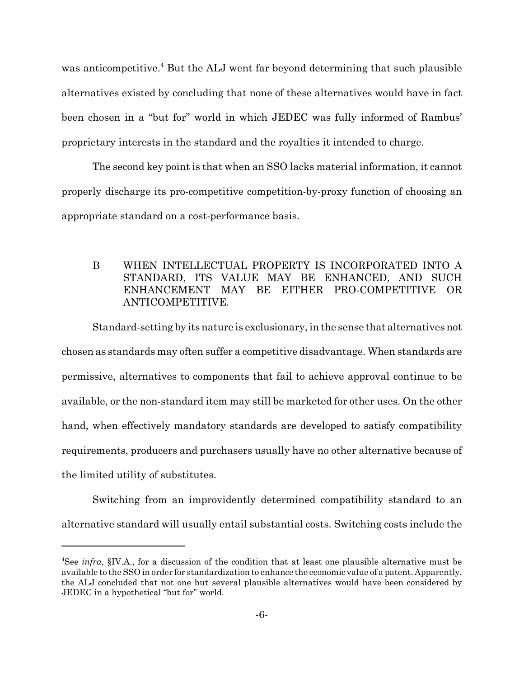was anticompetitive.<sup>4</sup> But the ALJ went far beyond determining that such plausible alternatives existed by concluding that none of these alternatives would have in fact been chosen in a "but for" world in which JEDEC was fully informed of Rambus' proprietary interests in the standard and the royalties it intended to charge.

The second key point is that when an SSO lacks material information, it cannot properly discharge its pro-competitive competition-by-proxy function of choosing an appropriate standard on a cost-performance basis.

### $\mathbf{B}$ WHEN INTELLECTUAL PROPERTY IS INCORPORATED INTO A STANDARD, ITS VALUE MAY BE ENHANCED, AND SUCH ENHANCEMENT MAY BE EITHER PRO-COMPETITIVE OR ANTICOMPETITIVE.

Standard-setting by its nature is exclusionary, in the sense that alternatives not chosen as standards may often suffer a competitive disadvantage. When standards are permissive, alternatives to components that fail to achieve approval continue to be available, or the non-standard item may still be marketed for other uses. On the other hand, when effectively mandatory standards are developed to satisfy compatibility requirements, producers and purchasers usually have no other alternative because of the limited utility of substitutes.

Switching from an improvidently determined compatibility standard to an alternative standard will usually entail substantial costs. Switching costs include the

<sup>&</sup>lt;sup>4</sup>See *infra*,  $\S$ IV.A., for a discussion of the condition that at least one plausible alternative must be available to the SSO in order for standardization to enhance the economic value of a patent. Apparently, the ALJ concluded that not one but several plausible alternatives would have been considered by JEDEC in a hypothetical "but for" world.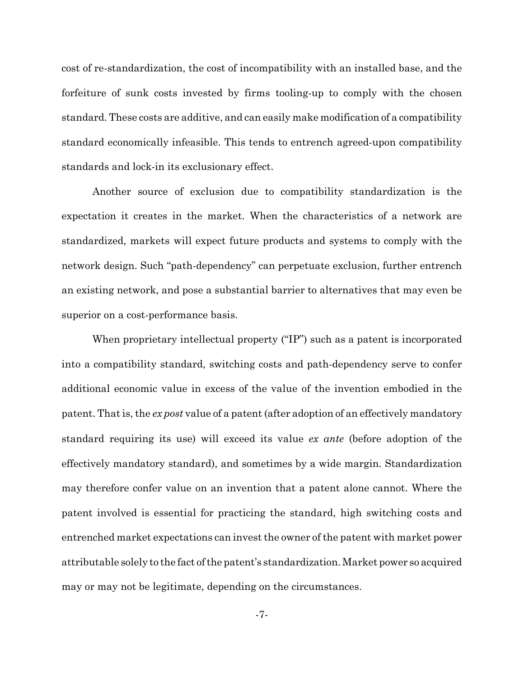cost of re-standardization, the cost of incompatibility with an installed base, and the forfeiture of sunk costs invested by firms tooling-up to comply with the chosen standard. These costs are additive, and can easily make modification of a compatibility standard economically infeasible. This tends to entrench agreed-upon compatibility standards and lock-in its exclusionary effect.

Another source of exclusion due to compatibility standardization is the expectation it creates in the market. When the characteristics of a network are standardized, markets will expect future products and systems to comply with the network design. Such "path-dependency" can perpetuate exclusion, further entrench an existing network, and pose a substantial barrier to alternatives that may even be superior on a cost-performance basis.

When proprietary intellectual property ("IP") such as a patent is incorporated into a compatibility standard, switching costs and path-dependency serve to confer additional economic value in excess of the value of the invention embodied in the patent. That is, the expost value of a patent (after adoption of an effectively mandatory standard requiring its use) will exceed its value ex ante (before adoption of the effectively mandatory standard), and sometimes by a wide margin. Standardization may therefore confer value on an invention that a patent alone cannot. Where the patent involved is essential for practicing the standard, high switching costs and entrenched market expectations can invest the owner of the patent with market power attributable solely to the fact of the patent's standardization. Market power so acquired may or may not be legitimate, depending on the circumstances.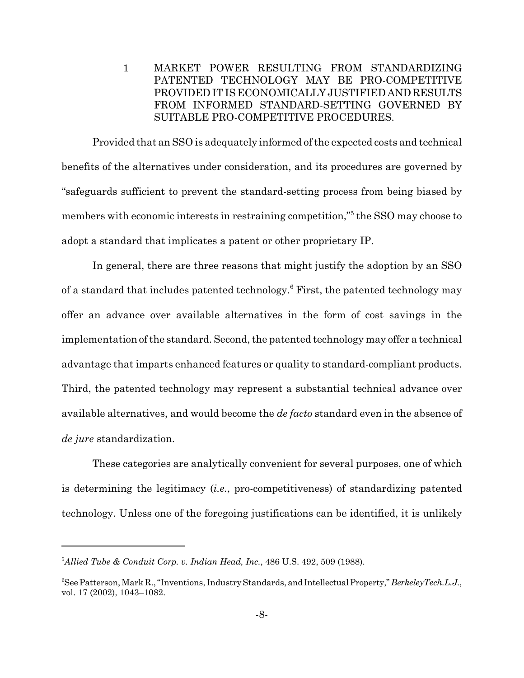$\mathbf{1}$ MARKET POWER RESULTING FROM STANDARDIZING PATENTED TECHNOLOGY MAY BE PRO-COMPETITIVE PROVIDED IT IS ECONOMICALLY JUSTIFIED AND RESULTS FROM INFORMED STANDARD-SETTING GOVERNED BY SUITABLE PRO-COMPETITIVE PROCEDURES.

Provided that an SSO is adequately informed of the expected costs and technical benefits of the alternatives under consideration, and its procedures are governed by "safeguards sufficient to prevent the standard-setting process from being biased by members with economic interests in restraining competition,"<sup>5</sup> the SSO may choose to adopt a standard that implicates a patent or other proprietary IP.

In general, there are three reasons that might justify the adoption by an SSO of a standard that includes patented technology.<sup>6</sup> First, the patented technology may offer an advance over available alternatives in the form of cost savings in the implementation of the standard. Second, the patented technology may offer a technical advantage that imparts enhanced features or quality to standard-compliant products. Third, the patented technology may represent a substantial technical advance over available alternatives, and would become the *de facto* standard even in the absence of *de jure* standardization.

These categories are analytically convenient for several purposes, one of which is determining the legitimacy (*i.e.*, pro-competitiveness) of standardizing patented technology. Unless one of the foregoing justifications can be identified, it is unlikely

 $5$ Allied Tube & Conduit Corp. v. Indian Head, Inc., 486 U.S. 492, 509 (1988).

<sup>&</sup>quot;See Patterson, Mark R., "Inventions, Industry Standards, and Intellectual Property," Berkeley Tech.L.J., vol. 17 (2002), 1043-1082.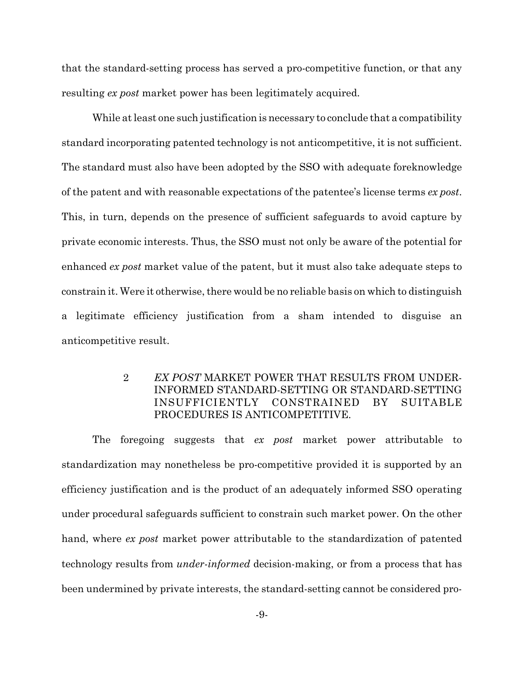that the standard-setting process has served a pro-competitive function, or that any resulting ex post market power has been legitimately acquired.

While at least one such justification is necessary to conclude that a compatibility standard incorporating patented technology is not anticompetitive, it is not sufficient. The standard must also have been adopted by the SSO with adequate foreknowledge of the patent and with reasonable expectations of the patentee's license terms ex post. This, in turn, depends on the presence of sufficient safeguards to avoid capture by private economic interests. Thus, the SSO must not only be aware of the potential for enhanced *ex post* market value of the patent, but it must also take adequate steps to constrain it. Were it otherwise, there would be no reliable basis on which to distinguish a legitimate efficiency justification from a sham intended to disguise an anticompetitive result.

#### $\overline{2}$ EX POST MARKET POWER THAT RESULTS FROM UNDER-INFORMED STANDARD-SETTING OR STANDARD-SETTING **INSUFFICIENTLY** CONSTRAINED **BY SUITABLE** PROCEDURES IS ANTICOMPETITIVE.

The foregoing suggests that ex post market power attributable to standardization may nonetheless be pro-competitive provided it is supported by an efficiency justification and is the product of an adequately informed SSO operating under procedural safeguards sufficient to constrain such market power. On the other hand, where ex post market power attributable to the standardization of patented technology results from *under-informed* decision-making, or from a process that has been undermined by private interests, the standard-setting cannot be considered pro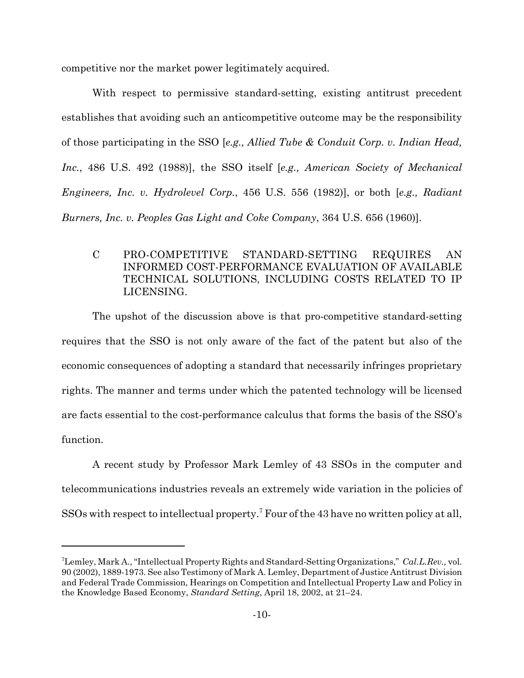competitive nor the market power legitimately acquired.

With respect to permissive standard-setting, existing antitrust precedent establishes that avoiding such an anticompetitive outcome may be the responsibility of those participating in the SSO [e.g., Allied Tube & Conduit Corp. v. Indian Head, Inc., 486 U.S. 492 (1988)], the SSO itself [e.g., American Society of Mechanical *Engineers, Inc. v. Hydrolevel Corp., 456 U.S. 556 (1982)*, or both [e.g., Radiant Burners, Inc. v. Peoples Gas Light and Coke Company, 364 U.S. 656 (1960)].

 $\mathbf C$ PRO-COMPETITIVE STANDARD-SETTING **REQUIRES** AN **INFORMED COST-PERFORMANCE EVALUATION OF AVAILABLE** TECHNICAL SOLUTIONS, INCLUDING COSTS RELATED TO IP LICENSING.

The upshot of the discussion above is that pro-competitive standard-setting requires that the SSO is not only aware of the fact of the patent but also of the economic consequences of adopting a standard that necessarily infringes proprietary rights. The manner and terms under which the patented technology will be licensed are facts essential to the cost-performance calculus that forms the basis of the SSO's function.

A recent study by Professor Mark Lemley of 43 SSOs in the computer and telecommunications industries reveals an extremely wide variation in the policies of  $SSOs$  with respect to intellectual property.<sup>7</sup> Four of the 43 have no written policy at all.

<sup>&</sup>lt;sup>7</sup>Lemley, Mark A., "Intellectual Property Rights and Standard-Setting Organizations," Cal.L.Rev., vol. 90 (2002), 1889-1973. See also Testimony of Mark A. Lemley, Department of Justice Antitrust Division and Federal Trade Commission, Hearings on Competition and Intellectual Property Law and Policy in the Knowledge Based Economy, Standard Setting, April 18, 2002, at 21-24.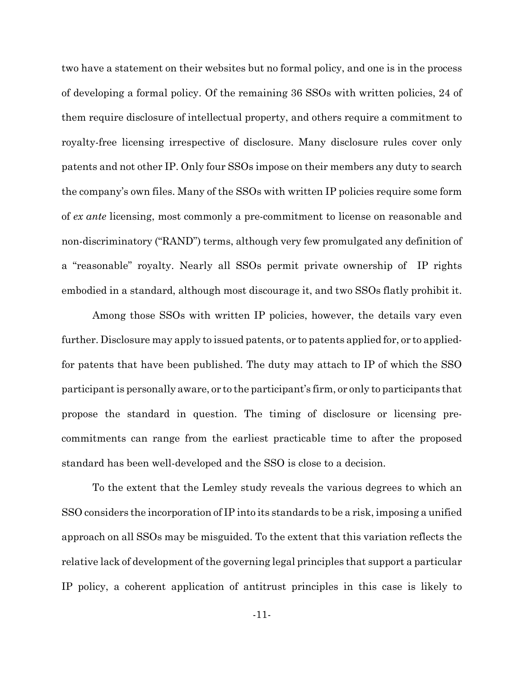two have a statement on their websites but no formal policy, and one is in the process of developing a formal policy. Of the remaining 36 SSOs with written policies, 24 of them require disclosure of intellectual property, and others require a commitment to royalty-free licensing irrespective of disclosure. Many disclosure rules cover only patents and not other IP. Only four SSOs impose on their members any duty to search the company's own files. Many of the SSOs with written IP policies require some form of ex ante licensing, most commonly a pre-commitment to license on reasonable and non-discriminatory ("RAND") terms, although very few promulgated any definition of a "reasonable" royalty. Nearly all SSOs permit private ownership of IP rights embodied in a standard, although most discourage it, and two SSOs flatly prohibit it.

Among those SSOs with written IP policies, however, the details vary even further. Disclosure may apply to issued patents, or to patents applied for, or to appliedfor patents that have been published. The duty may attach to IP of which the SSO participant is personally aware, or to the participant's firm, or only to participants that propose the standard in question. The timing of disclosure or licensing precommitments can range from the earliest practicable time to after the proposed standard has been well-developed and the SSO is close to a decision.

To the extent that the Lemley study reveals the various degrees to which an SSO considers the incorporation of IP into its standards to be a risk, imposing a unified approach on all SSOs may be misguided. To the extent that this variation reflects the relative lack of development of the governing legal principles that support a particular IP policy, a coherent application of antitrust principles in this case is likely to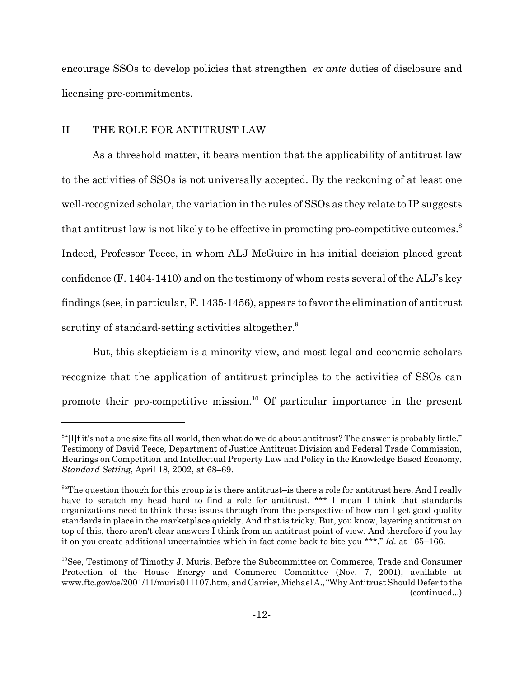encourage SSOs to develop policies that strengthen ex ante duties of disclosure and licensing pre-commitments.

#### $\overline{II}$ THE ROLE FOR ANTITRUST LAW

As a threshold matter, it bears mention that the applicability of antitrust law to the activities of SSOs is not universally accepted. By the reckoning of at least one well-recognized scholar, the variation in the rules of SSOs as they relate to IP suggests that antitrust law is not likely to be effective in promoting pro-competitive outcomes.<sup>8</sup> Indeed, Professor Teece, in whom ALJ McGuire in his initial decision placed great confidence  $(F. 1404-1410)$  and on the testimony of whom rests several of the ALJ's key findings (see, in particular, F. 1435-1456), appears to favor the elimination of antitrust scrutiny of standard-setting activities altogether.

But, this skepticism is a minority view, and most legal and economic scholars recognize that the application of antitrust principles to the activities of SSOs can promote their pro-competitive mission.<sup>10</sup> Of particular importance in the present

 $\frac{84}{11}$  it's not a one size fits all world, then what do we do about antitrust? The answer is probably little." Testimony of David Teece, Department of Justice Antitrust Division and Federal Trade Commission, Hearings on Competition and Intellectual Property Law and Policy in the Knowledge Based Economy, *Standard Setting, April 18, 2002, at 68–69.* 

<sup>&</sup>lt;sup>9</sup>"The question though for this group is is there antitrust-is there a role for antitrust here. And I really have to scratch my head hard to find a role for antitrust. \*\*\* I mean I think that standards organizations need to think these issues through from the perspective of how can I get good quality standards in place in the market place quickly. And that is tricky. But, you know, layering antitrust on top of this, there aren't clear answers I think from an antitrust point of view. And therefore if you lay it on you create additional uncertainties which in fact come back to bite you \*\*\*." Id. at  $165-166$ .

 $^{10}$ See, Testimony of Timothy J. Muris, Before the Subcommittee on Commerce, Trade and Consumer Protection of the House Energy and Commerce Committee (Nov. 7, 2001), available at www.ftc.gov/os/2001/11/muris011107.htm, and Carrier, Michael A., "Why Antitrust Should Defer to the (continued...)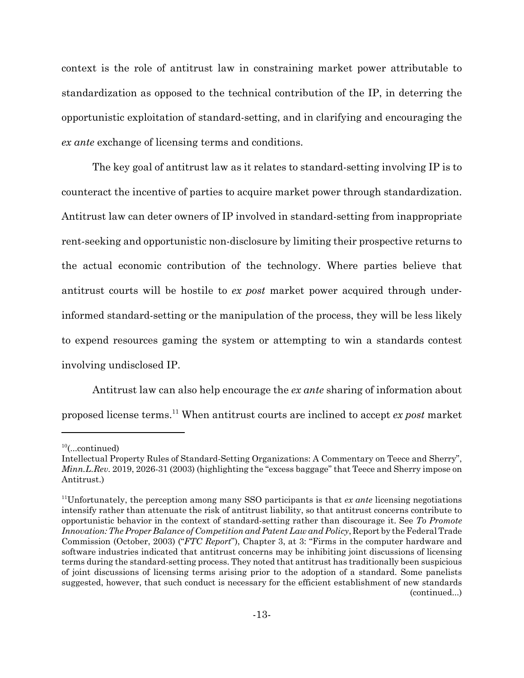context is the role of antitrust law in constraining market power attributable to standardization as opposed to the technical contribution of the IP, in deterring the opportunistic exploitation of standard-setting, and in clarifying and encouraging the ex ante exchange of licensing terms and conditions.

The key goal of antitrust law as it relates to standard-setting involving IP is to counteract the incentive of parties to acquire market power through standardization. Antitrust law can deter owners of IP involved in standard-setting from inappropriate rent-seeking and opportunistic non-disclosure by limiting their prospective returns to the actual economic contribution of the technology. Where parties believe that antitrust courts will be hostile to ex post market power acquired through underinformed standard-setting or the manipulation of the process, they will be less likely to expend resources gaming the system or attempting to win a standards contest involving undisclosed IP.

Antitrust law can also help encourage the ex ante sharing of information about proposed license terms.<sup>11</sup> When antitrust courts are inclined to accept ex post market

 $10$ (...continued)

Intellectual Property Rules of Standard-Setting Organizations: A Commentary on Teece and Sherry", *Minn.L.Rev.* 2019, 2026-31 (2003) (highlighting the "excess baggage" that Teece and Sherry impose on Antitrust.)

 $11$ Unfortunately, the perception among many SSO participants is that *ex ante* licensing negotiations intensify rather than attenuate the risk of antitrust liability, so that antitrust concerns contribute to opportunistic behavior in the context of standard-setting rather than discourage it. See To Promote Innovation: The Proper Balance of Competition and Patent Law and Policy, Report by the Federal Trade Commission (October, 2003) ("FTC Report"), Chapter 3, at 3: "Firms in the computer hardware and software industries indicated that antitrust concerns may be inhibiting joint discussions of licensing terms during the standard-setting process. They noted that antitrust has traditionally been suspicious of joint discussions of licensing terms arising prior to the adoption of a standard. Some panelists suggested, however, that such conduct is necessary for the efficient establishment of new standards (continued...)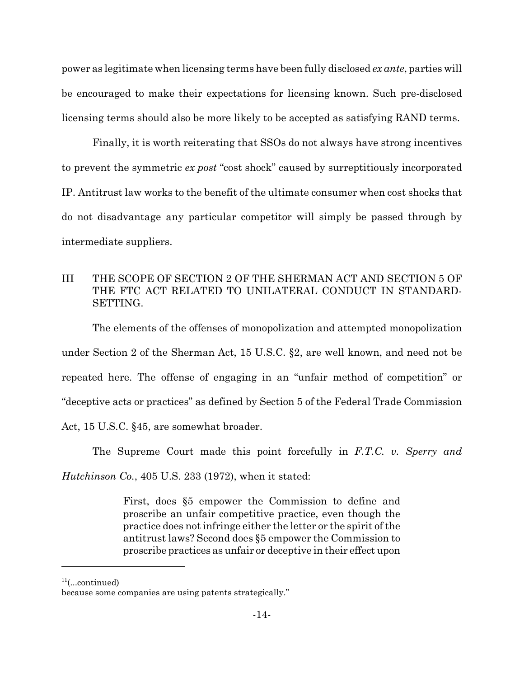power as legitimate when licensing terms have been fully disclosed *ex ante*, parties will be encouraged to make their expectations for licensing known. Such pre-disclosed licensing terms should also be more likely to be accepted as satisfying RAND terms.

Finally, it is worth reiterating that SSOs do not always have strong incentives to prevent the symmetric ex post "cost shock" caused by surreptitiously incorporated IP. Antitrust law works to the benefit of the ultimate consumer when cost shocks that do not disadvantage any particular competitor will simply be passed through by intermediate suppliers.

#### **TIT** THE SCOPE OF SECTION 2 OF THE SHERMAN ACT AND SECTION 5 OF THE FTC ACT RELATED TO UNILATERAL CONDUCT IN STANDARD-SETTING.

The elements of the offenses of monopolization and attempted monopolization under Section 2 of the Sherman Act, 15 U.S.C. §2, are well known, and need not be repeated here. The offense of engaging in an "unfair method of competition" or "deceptive acts or practices" as defined by Section 5 of the Federal Trade Commission Act, 15 U.S.C. §45, are somewhat broader.

The Supreme Court made this point forcefully in F.T.C. v. Sperry and

*Hutchinson Co.*, 405 U.S. 233 (1972), when it stated:

First, does \$5 empower the Commission to define and proscribe an unfair competitive practice, even though the practice does not infringe either the letter or the spirit of the antitrust laws? Second does §5 empower the Commission to proscribe practices as unfair or deceptive in their effect upon

 $11$ (...continued)

because some companies are using patents strategically."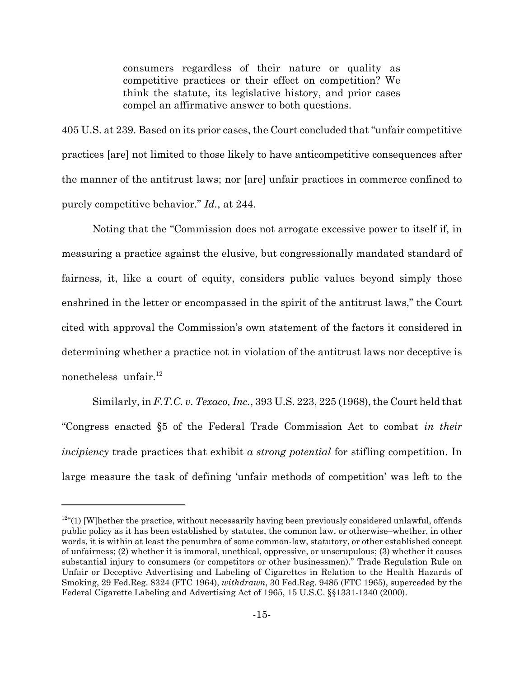consumers regardless of their nature or quality as competitive practices or their effect on competition? We think the statute, its legislative history, and prior cases compel an affirmative answer to both questions.

405 U.S. at 239. Based on its prior cases, the Court concluded that "unfair competitive" practices [are] not limited to those likely to have anticompetitive consequences after the manner of the antitrust laws; nor [are] unfair practices in commerce confined to purely competitive behavior." Id., at 244.

Noting that the "Commission does not arrogate excessive power to itself if, in measuring a practice against the elusive, but congressionally mandated standard of fairness, it, like a court of equity, considers public values beyond simply those enshrined in the letter or encompassed in the spirit of the antitrust laws," the Court cited with approval the Commission's own statement of the factors it considered in determining whether a practice not in violation of the antitrust laws nor deceptive is nonetheless unfair. $^{12}$ 

Similarly, in F.T.C. v. Texaco, Inc., 393 U.S. 223, 225 (1968), the Court held that "Congress enacted §5 of the Federal Trade Commission Act to combat in their *incipiency* trade practices that exhibit a *strong potential* for stifling competition. In large measure the task of defining 'unfair methods of competition' was left to the

 $12^{42}$  (1) [W] hether the practice, without necessarily having been previously considered unlawful, offends public policy as it has been established by statutes, the common law, or otherwise–whether, in other words, it is within at least the penumbra of some common-law, statutory, or other established concept of unfairness; (2) whether it is immoral, unethical, oppressive, or unscrupulous; (3) whether it causes substantial injury to consumers (or competitors or other businessmen)." Trade Regulation Rule on Unfair or Deceptive Advertising and Labeling of Cigarettes in Relation to the Health Hazards of Smoking, 29 Fed.Reg. 8324 (FTC 1964), *withdrawn*, 30 Fed.Reg. 9485 (FTC 1965), superceded by the Federal Cigarette Labeling and Advertising Act of 1965, 15 U.S.C. §§1331-1340 (2000).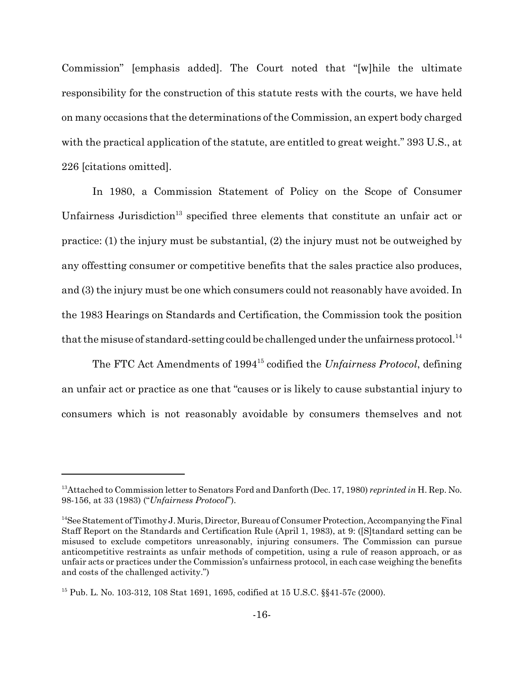Commission" [emphasis added]. The Court noted that "[w]hile the ultimate responsibility for the construction of this statute rests with the courts, we have held on many occasions that the determinations of the Commission, an expert body charged with the practical application of the statute, are entitled to great weight." 393 U.S., at 226 [citations omitted].

In 1980, a Commission Statement of Policy on the Scope of Consumer Unfairness Jurisdiction<sup>13</sup> specified three elements that constitute an unfair act or practice: (1) the injury must be substantial, (2) the injury must not be outweighed by any offerting consumer or competitive benefits that the sales practice also produces, and (3) the injury must be one which consumers could not reasonably have avoided. In the 1983 Hearings on Standards and Certification, the Commission took the position that the misuse of standard-setting could be challenged under the unfairness protocol.<sup>14</sup>

The FTC Act Amendments of 1994<sup>15</sup> codified the *Unfairness Protocol*, defining an unfair act or practice as one that "causes or is likely to cause substantial injury to consumers which is not reasonably avoidable by consumers themselves and not

<sup>&</sup>lt;sup>13</sup>Attached to Commission letter to Senators Ford and Danforth (Dec. 17, 1980) reprinted in H. Rep. No. 98-156, at 33 (1983) ("Unfairness Protocol").

<sup>&</sup>lt;sup>14</sup>See Statement of Timothy J. Muris, Director, Bureau of Consumer Protection, Accompanying the Final Staff Report on the Standards and Certification Rule (April 1, 1983), at 9: ([S]tandard setting can be misused to exclude competitors unreasonably, injuring consumers. The Commission can pursue anticompetitive restraints as unfair methods of competition, using a rule of reason approach, or as unfair acts or practices under the Commission's unfairness protocol, in each case weighing the benefits and costs of the challenged activity."

<sup>&</sup>lt;sup>15</sup> Pub. L. No. 103-312, 108 Stat 1691, 1695, codified at 15 U.S.C. §§41-57c (2000).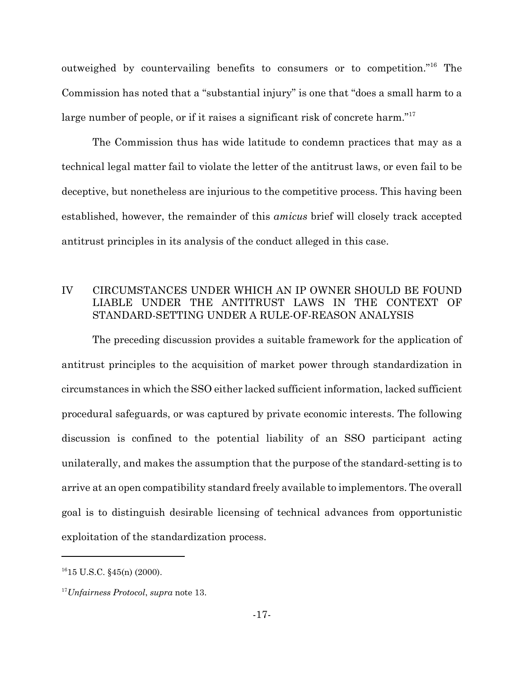outweighed by countervailing benefits to consumers or to competition."<sup>16</sup> The Commission has noted that a "substantial injury" is one that "does a small harm to a large number of people, or if it raises a significant risk of concrete harm."<sup>17</sup>

The Commission thus has wide latitude to condemn practices that may as a technical legal matter fail to violate the letter of the antitrust laws, or even fail to be deceptive, but nonetheless are injurious to the competitive process. This having been established, however, the remainder of this *amicus* brief will closely track accepted antitrust principles in its analysis of the conduct alleged in this case.

#### IV CIRCUMSTANCES UNDER WHICH AN IP OWNER SHOULD BE FOUND LIABLE UNDER THE ANTITRUST LAWS IN THE CONTEXT OF STANDARD-SETTING UNDER A RULE-OF-REASON ANALYSIS

The preceding discussion provides a suitable framework for the application of antitrust principles to the acquisition of market power through standardization in circumstances in which the SSO either lacked sufficient information, lacked sufficient procedural safeguards, or was captured by private economic interests. The following discussion is confined to the potential liability of an SSO participant acting unilaterally, and makes the assumption that the purpose of the standard-setting is to arrive at an open compatibility standard freely available to implementors. The overall goal is to distinguish desirable licensing of technical advances from opportunistic exploitation of the standardization process.

 $^{16}$ 15 U.S.C.  $\frac{25}{10}$  (2000).

 $17$ Unfairness Protocol, supra note 13.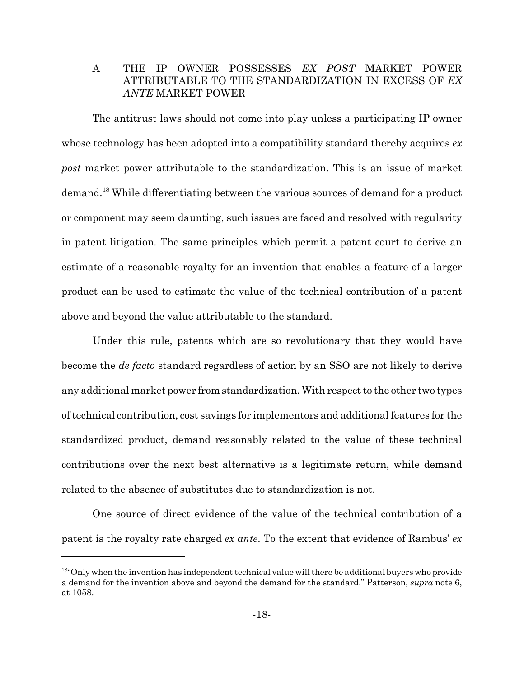#### THE IP OWNER POSSESSES EX POST MARKET POWER  $\mathbf{A}$ ATTRIBUTABLE TO THE STANDARDIZATION IN EXCESS OF EX *ANTE* MARKET POWER

The antitrust laws should not come into play unless a participating IP owner whose technology has been adopted into a compatibility standard thereby acquires ex post market power attributable to the standardization. This is an issue of market demand.<sup>18</sup> While differentiating between the various sources of demand for a product or component may seem daunting, such issues are faced and resolved with regularity in patent litigation. The same principles which permit a patent court to derive an estimate of a reasonable royalty for an invention that enables a feature of a larger product can be used to estimate the value of the technical contribution of a patent above and beyond the value attributable to the standard.

Under this rule, patents which are so revolutionary that they would have become the *de facto* standard regardless of action by an SSO are not likely to derive any additional market power from standardization. With respect to the other two types of technical contribution, cost savings for implementors and additional features for the standardized product, demand reasonably related to the value of these technical contributions over the next best alternative is a legitimate return, while demand related to the absence of substitutes due to standardization is not.

One source of direct evidence of the value of the technical contribution of a patent is the royalty rate charged *ex ante*. To the extent that evidence of Rambus' *ex* 

<sup>&</sup>lt;sup>184</sup>Only when the invention has independent technical value will there be additional buyers who provide a demand for the invention above and beyond the demand for the standard." Patterson, *supra* note 6, at 1058.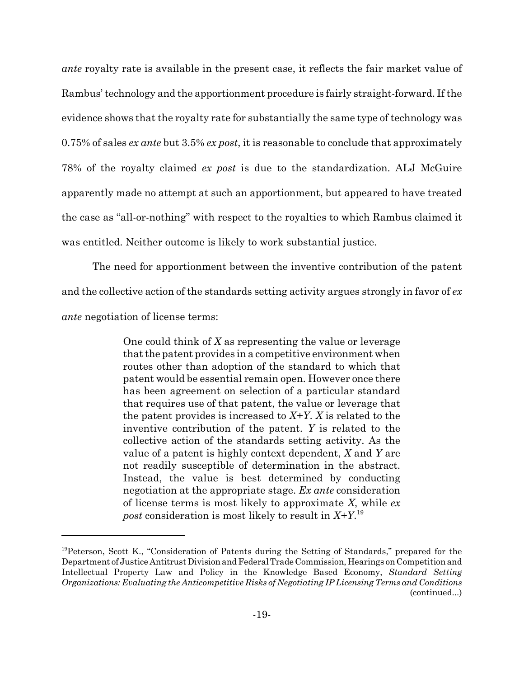*ante* royalty rate is available in the present case, it reflects the fair market value of Rambus' technology and the apportionment procedure is fairly straight-forward. If the evidence shows that the royalty rate for substantially the same type of technology was 0.75% of sales ex ante but 3.5% ex post, it is reasonable to conclude that approximately 78% of the royalty claimed ex post is due to the standardization. ALJ McGuire apparently made no attempt at such an apportionment, but appeared to have treated the case as "all-or-nothing" with respect to the royalties to which Rambus claimed it was entitled. Neither outcome is likely to work substantial justice.

The need for apportionment between the inventive contribution of the patent and the collective action of the standards setting activity argues strongly in favor of ex *ante* negotiation of license terms:

> One could think of  $X$  as representing the value or leverage that the patent provides in a competitive environment when routes other than adoption of the standard to which that patent would be essential remain open. However once there has been agreement on selection of a particular standard that requires use of that patent, the value or leverage that the patent provides is increased to  $X+Y$ . X is related to the inventive contribution of the patent. Y is related to the collective action of the standards setting activity. As the value of a patent is highly context dependent,  $X$  and  $Y$  are not readily susceptible of determination in the abstract. Instead, the value is best determined by conducting negotiation at the appropriate stage. Ex ante consideration of license terms is most likely to approximate  $X$ , while  $ex$ *post* consideration is most likely to result in  $X+Y$ <sup>19</sup>

<sup>&</sup>lt;sup>19</sup>Peterson, Scott K., "Consideration of Patents during the Setting of Standards," prepared for the Department of Justice Antitrust Division and Federal Trade Commission, Hearings on Competition and Intellectual Property Law and Policy in the Knowledge Based Economy, Standard Setting Organizations: Evaluating the Anticompetitive Risks of Negotiating IP Licensing Terms and Conditions (continued...)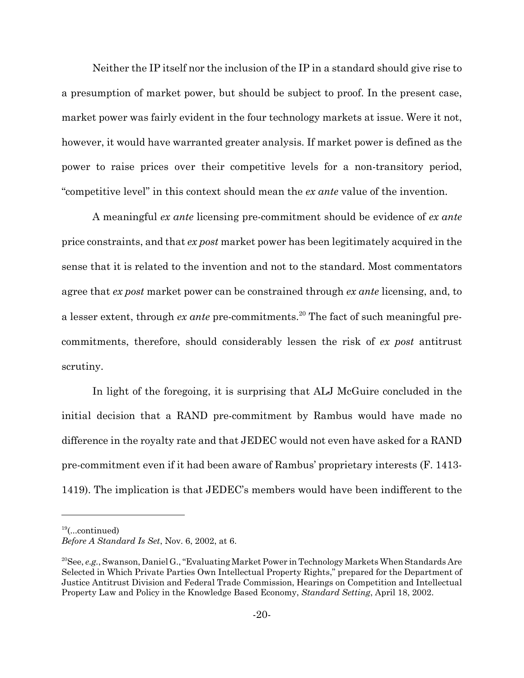Neither the IP itself nor the inclusion of the IP in a standard should give rise to a presumption of market power, but should be subject to proof. In the present case, market power was fairly evident in the four technology markets at issue. Were it not, however, it would have warranted greater analysis. If market power is defined as the power to raise prices over their competitive levels for a non-transitory period, "competitive level" in this context should mean the *ex ante* value of the invention.

A meaningful ex ante licensing pre-commitment should be evidence of ex ante price constraints, and that ex post market power has been legitimately acquired in the sense that it is related to the invention and not to the standard. Most commentators agree that ex post market power can be constrained through ex ante licensing, and, to a lesser extent, through *ex ante* pre-commitments.<sup>20</sup> The fact of such meaningful precommitments, therefore, should considerably lessen the risk of ex post antitrust scrutiny.

In light of the foregoing, it is surprising that ALJ McGuire concluded in the initial decision that a RAND pre-commitment by Rambus would have made no difference in the royalty rate and that JEDEC would not even have asked for a RAND pre-commitment even if it had been aware of Rambus' proprietary interests (F. 1413-1419). The implication is that JEDEC's members would have been indifferent to the

 $^{19}$ (...continued)

Before A Standard Is Set, Nov. 6, 2002, at 6.

<sup>&</sup>lt;sup>20</sup>See, e.g., Swanson, Daniel G., "Evaluating Market Power in Technology Markets When Standards Are Selected in Which Private Parties Own Intellectual Property Rights," prepared for the Department of Justice Antitrust Division and Federal Trade Commission, Hearings on Competition and Intellectual Property Law and Policy in the Knowledge Based Economy, Standard Setting, April 18, 2002.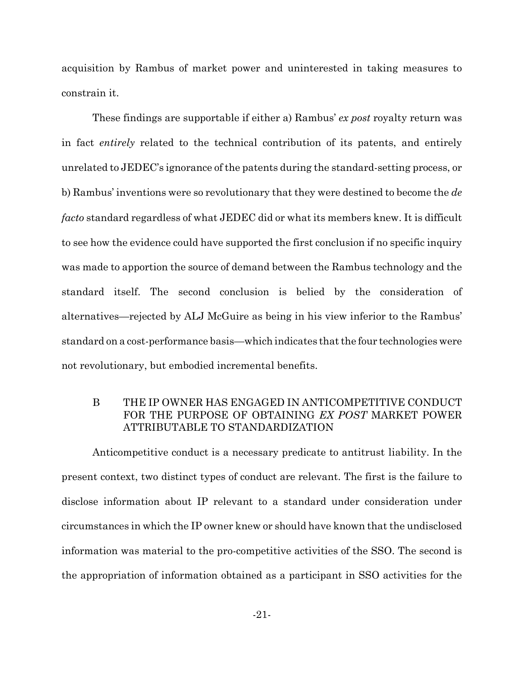acquisition by Rambus of market power and uninterested in taking measures to constrain it.

These findings are supportable if either a) Rambus' ex post royalty return was in fact *entirely* related to the technical contribution of its patents, and entirely unrelated to JEDEC's ignorance of the patents during the standard-setting process, or b) Rambus' inventions were so revolutionary that they were destined to become the de *facto* standard regardless of what JEDEC did or what its members knew. It is difficult to see how the evidence could have supported the first conclusion if no specific inquiry was made to apportion the source of demand between the Rambus technology and the standard itself. The second conclusion is belied by the consideration of alternatives—rejected by ALJ McGuire as being in his view inferior to the Rambus' standard on a cost-performance basis—which indicates that the four technologies were not revolutionary, but embodied incremental benefits.

#### B THE IP OWNER HAS ENGAGED IN ANTICOMPETITIVE CONDUCT FOR THE PURPOSE OF OBTAINING EX POST MARKET POWER ATTRIBUTABLE TO STANDARDIZATION

Anticompetitive conduct is a necessary predicate to antitrust liability. In the present context, two distinct types of conduct are relevant. The first is the failure to disclose information about IP relevant to a standard under consideration under circumstances in which the IP owner knew or should have known that the undisclosed information was material to the pro-competitive activities of the SSO. The second is the appropriation of information obtained as a participant in SSO activities for the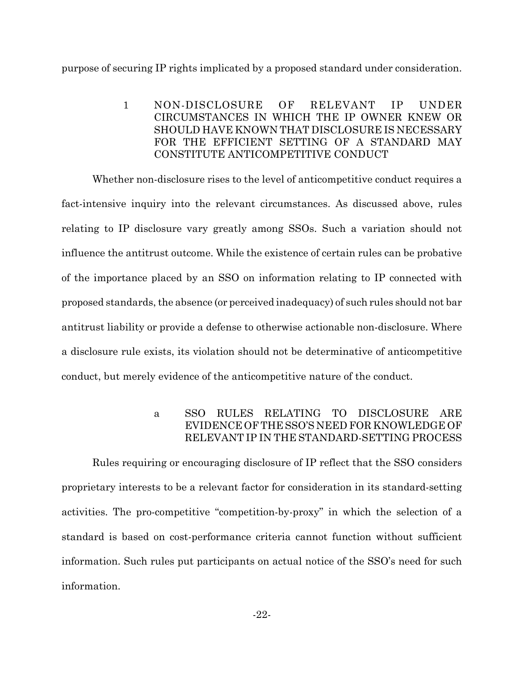purpose of securing IP rights implicated by a proposed standard under consideration.

NON-DISCLOSURE **RELEVANT TP**  $\mathbf{1}$ OF **UNDER** CIRCUMSTANCES IN WHICH THE IP OWNER KNEW OR SHOULD HAVE KNOWN THAT DISCLOSURE IS NECESSARY FOR THE EFFICIENT SETTING OF A STANDARD MAY CONSTITUTE ANTICOMPETITIVE CONDUCT

Whether non-disclosure rises to the level of anticompetitive conduct requires a fact-intensive inquiry into the relevant circumstances. As discussed above, rules relating to IP disclosure vary greatly among SSOs. Such a variation should not influence the antitrust outcome. While the existence of certain rules can be probative of the importance placed by an SSO on information relating to IP connected with proposed standards, the absence (or perceived inadequacy) of such rules should not bar antitrust liability or provide a defense to otherwise actionable non-disclosure. Where a disclosure rule exists, its violation should not be determinative of anticompetitive conduct, but merely evidence of the anticompetitive nature of the conduct.

#### SSO RULES RELATING TO DISCLOSURE ARE  $\mathbf{a}$ EVIDENCE OF THE SSO'S NEED FOR KNOWLEDGE OF RELEVANT IP IN THE STANDARD-SETTING PROCESS

Rules requiring or encouraging disclosure of IP reflect that the SSO considers proprietary interests to be a relevant factor for consideration in its standard-setting activities. The pro-competitive "competition-by-proxy" in which the selection of a standard is based on cost-performance criteria cannot function without sufficient information. Such rules put participants on actual notice of the SSO's need for such information.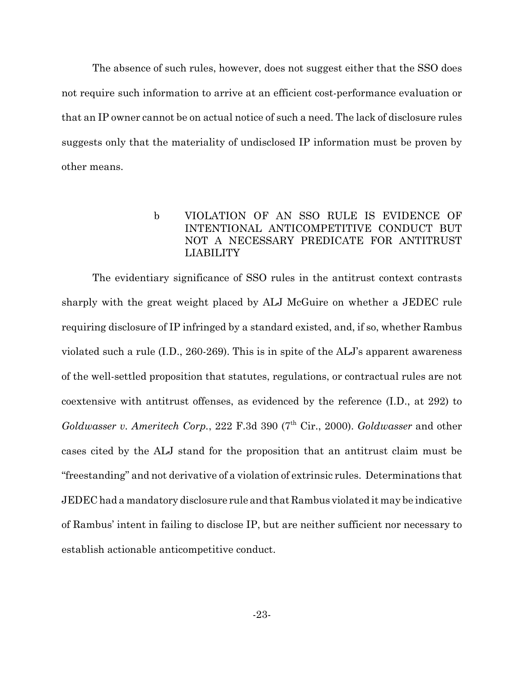The absence of such rules, however, does not suggest either that the SSO does not require such information to arrive at an efficient cost-performance evaluation or that an IP owner cannot be on actual notice of such a need. The lack of disclosure rules suggests only that the materiality of undisclosed IP information must be proven by other means.

### $\mathbf{b}$ VIOLATION OF AN SSO RULE IS EVIDENCE OF INTENTIONAL ANTICOMPETITIVE CONDUCT BUT NOT A NECESSARY PREDICATE FOR ANTITRUST **LIABILITY**

The evidentiary significance of SSO rules in the antitrust context contrasts sharply with the great weight placed by ALJ McGuire on whether a JEDEC rule requiring disclosure of IP infringed by a standard existed, and, if so, whether Rambus violated such a rule  $(I.D., 260-269)$ . This is in spite of the ALJ's apparent awareness of the well-settled proposition that statutes, regulations, or contractual rules are not coextensive with antitrust offenses, as evidenced by the reference (I.D., at 292) to Goldwasser v. Ameritech Corp., 222 F.3d 390 (7<sup>th</sup> Cir., 2000). Goldwasser and other cases cited by the ALJ stand for the proposition that an antitrust claim must be "freestanding" and not derivative of a violation of extrinsic rules. Determinations that JEDEC had a mandatory disclosure rule and that Rambus violated it may be indicative of Rambus' intent in failing to disclose IP, but are neither sufficient nor necessary to establish actionable anticompetitive conduct.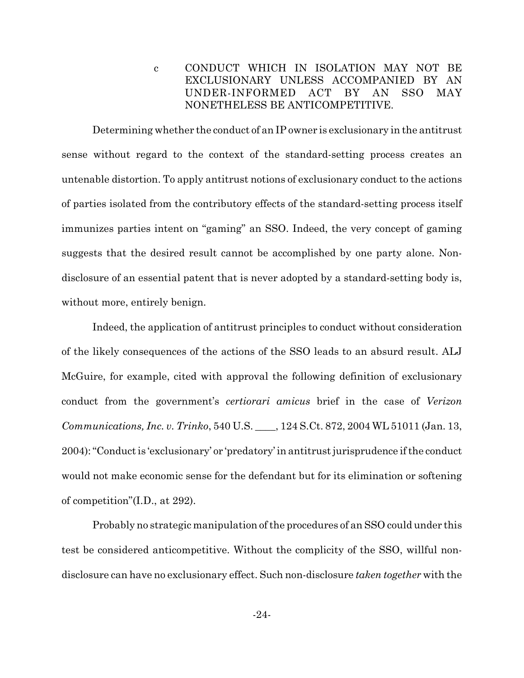CONDUCT WHICH IN ISOLATION MAY NOT BE  $\mathbf c$ EXCLUSIONARY UNLESS ACCOMPANIED BY AN UNDER-INFORMED  $ACT$  $BY$ AN. SSO. MAY NONETHELESS BE ANTICOMPETITIVE.

Determining whether the conduct of an IP owner is exclusionary in the antitrust sense without regard to the context of the standard-setting process creates an untenable distortion. To apply antitrust notions of exclusionary conduct to the actions of parties isolated from the contributory effects of the standard-setting process itself immunizes parties intent on "gaming" an SSO. Indeed, the very concept of gaming suggests that the desired result cannot be accomplished by one party alone. Nondisclosure of an essential patent that is never adopted by a standard-setting body is, without more, entirely benign.

Indeed, the application of antitrust principles to conduct without consideration of the likely consequences of the actions of the SSO leads to an absurd result. ALJ McGuire, for example, cited with approval the following definition of exclusionary conduct from the government's *certiorari* amicus brief in the case of *Verizon* Communications, Inc. v. Trinko, 540 U.S. \_\_\_, 124 S.Ct. 872, 2004 WL 51011 (Jan. 13, 2004): "Conduct is 'exclusionary' or 'predatory' in antitrust jurisprudence if the conduct would not make economic sense for the defendant but for its elimination or softening of competition" $(I.D., at 292)$ .

Probably no strategic manipulation of the procedures of an SSO could under this test be considered anticompetitive. Without the complicity of the SSO, willful nondisclosure can have no exclusionary effect. Such non-disclosure *taken together* with the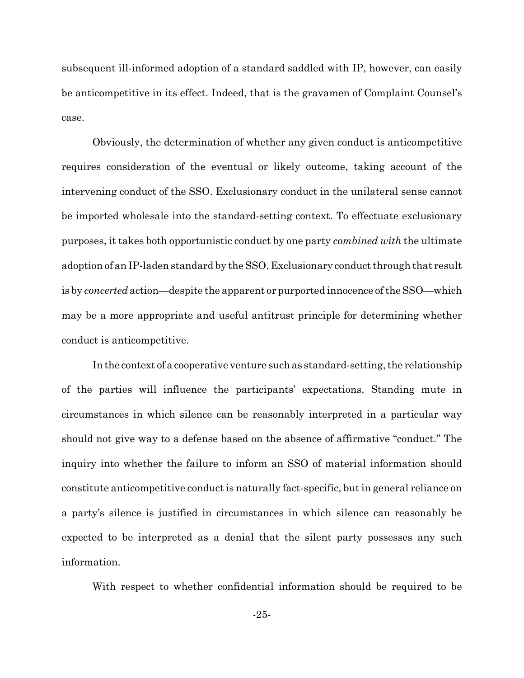subsequent ill-informed adoption of a standard saddled with IP, however, can easily be anticompetitive in its effect. Indeed, that is the gravamen of Complaint Counsel's case.

Obviously, the determination of whether any given conduct is anticompetitive requires consideration of the eventual or likely outcome, taking account of the intervening conduct of the SSO. Exclusionary conduct in the unilateral sense cannot be imported wholesale into the standard-setting context. To effectuate exclusionary purposes, it takes both opportunistic conduct by one party *combined with* the ultimate adoption of an IP-laden standard by the SSO. Exclusionary conduct through that result is by *concerted* action—despite the apparent or purported innocence of the SSO—which may be a more appropriate and useful antitrust principle for determining whether conduct is anticompetitive.

In the context of a cooperative venture such as standard-setting, the relationship of the parties will influence the participants' expectations. Standing mute in circumstances in which silence can be reasonably interpreted in a particular way should not give way to a defense based on the absence of affirmative "conduct." The inguiry into whether the failure to inform an SSO of material information should constitute anticompetitive conduct is naturally fact-specific, but in general reliance on a party's silence is justified in circumstances in which silence can reasonably be expected to be interpreted as a denial that the silent party possesses any such information.

With respect to whether confidential information should be required to be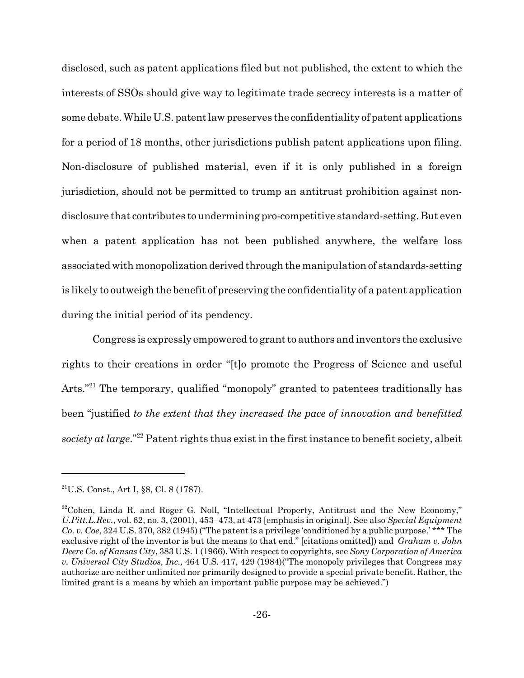disclosed, such as patent applications filed but not published, the extent to which the interests of SSOs should give way to legitimate trade secrecy interests is a matter of some debate. While U.S. patent law preserves the confidentiality of patent applications for a period of 18 months, other jurisdictions publish patent applications upon filing. Non-disclosure of published material, even if it is only published in a foreign jurisdiction, should not be permitted to trump an antitrust prohibition against nondisclosure that contributes to undermining pro-competitive standard-setting. But even when a patent application has not been published anywhere, the welfare loss associated with monopolization derived through the manipulation of standards-setting is likely to outweigh the benefit of preserving the confidentiality of a patent application during the initial period of its pendency.

Congress is expressly empowered to grant to authors and inventors the exclusive rights to their creations in order "[t]o promote the Progress of Science and useful Arts."<sup>21</sup> The temporary, qualified "monopoly" granted to patentees traditionally has been "justified to the extent that they increased the pace of innovation and benefitted society at large."<sup>22</sup> Patent rights thus exist in the first instance to benefit society, albeit

<sup>&</sup>lt;sup>21</sup>U.S. Const., Art I, §8, Cl. 8 (1787).

<sup>&</sup>lt;sup>22</sup>Cohen, Linda R. and Roger G. Noll, "Intellectual Property, Antitrust and the New Economy," U.Pitt.L.Rev., vol. 62, no. 3, (2001), 453–473, at 473 [emphasis in original]. See also Special Equipment Co. v. Coe, 324 U.S. 370, 382 (1945) ("The patent is a privilege 'conditioned by a public purpose.' \*\*\* The exclusive right of the inventor is but the means to that end." [citations omitted]) and Graham v. John Deere Co. of Kansas City, 383 U.S. 1 (1966). With respect to copyrights, see Sony Corporation of America v. Universal City Studios, Inc., 464 U.S. 417, 429 (1984) ("The monopoly privileges that Congress may authorize are neither unlimited nor primarily designed to provide a special private benefit. Rather, the limited grant is a means by which an important public purpose may be achieved.")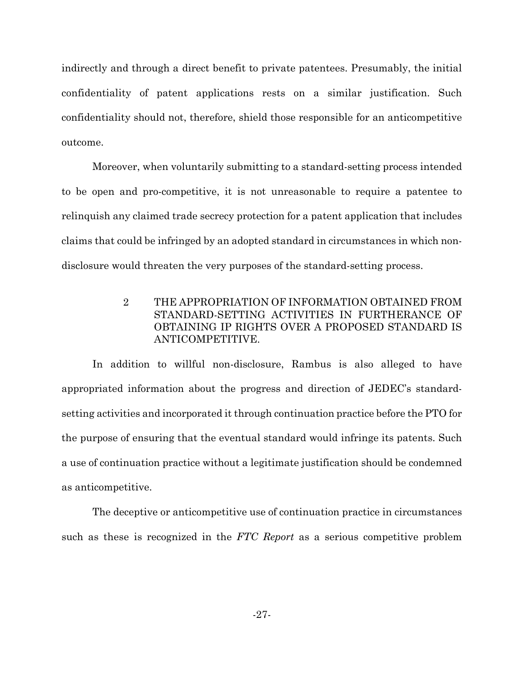indirectly and through a direct benefit to private patentees. Presumably, the initial confidentiality of patent applications rests on a similar justification. Such confidentiality should not, therefore, shield those responsible for an anticompetitive outcome.

Moreover, when voluntarily submitting to a standard-setting process intended to be open and pro-competitive, it is not unreasonable to require a patentee to relinguish any claimed trade secrecy protection for a patent application that includes claims that could be infringed by an adopted standard in circumstances in which nondisclosure would threaten the very purposes of the standard-setting process.

> $\overline{2}$ THE APPROPRIATION OF INFORMATION OBTAINED FROM STANDARD-SETTING ACTIVITIES IN FURTHERANCE OF OBTAINING IP RIGHTS OVER A PROPOSED STANDARD IS ANTICOMPETITIVE.

In addition to willful non-disclosure, Rambus is also alleged to have appropriated information about the progress and direction of JEDEC's standardsetting activities and incorporated it through continuation practice before the PTO for the purpose of ensuring that the eventual standard would infringe its patents. Such a use of continuation practice without a legitimate justification should be condemned as anticompetitive.

The deceptive or anticompetitive use of continuation practice in circumstances such as these is recognized in the FTC Report as a serious competitive problem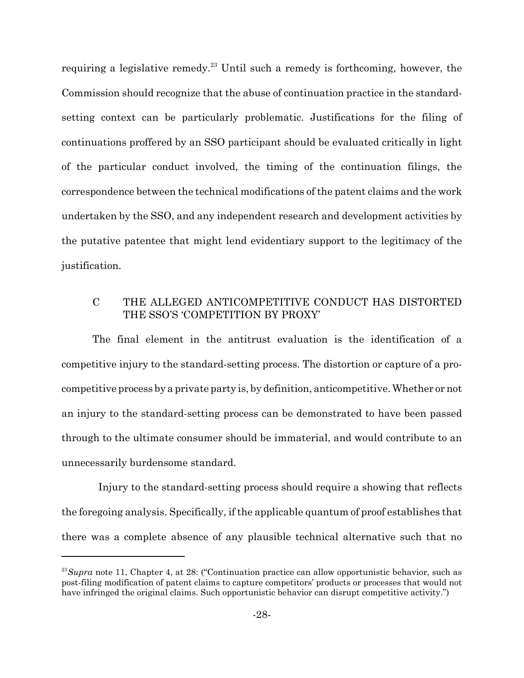requiring a legislative remedy.<sup>23</sup> Until such a remedy is forthcoming, however, the Commission should recognize that the abuse of continuation practice in the standardsetting context can be particularly problematic. Justifications for the filing of continuations proffered by an SSO participant should be evaluated critically in light of the particular conduct involved, the timing of the continuation filings, the correspondence between the technical modifications of the patent claims and the work undertaken by the SSO, and any independent research and development activities by the putative patentee that might lend evidentiary support to the legitimacy of the justification.

#### $\overline{C}$ THE ALLEGED ANTICOMPETITIVE CONDUCT HAS DISTORTED THE SSO'S 'COMPETITION BY PROXY'

The final element in the antitrust evaluation is the identification of a competitive injury to the standard-setting process. The distortion or capture of a procompetitive process by a private party is, by definition, anticompetitive. Whether or not an injury to the standard-setting process can be demonstrated to have been passed through to the ultimate consumer should be immaterial, and would contribute to an unnecessarily burdensome standard.

Injury to the standard-setting process should require a showing that reflects the foregoing analysis. Specifically, if the applicable quantum of proof establishes that there was a complete absence of any plausible technical alternative such that no

<sup>&</sup>lt;sup>23</sup>Supra note 11, Chapter 4, at 28: ("Continuation practice can allow opportunistic behavior, such as post-filing modification of patent claims to capture competitors' products or processes that would not have infringed the original claims. Such opportunistic behavior can disrupt competitive activity.")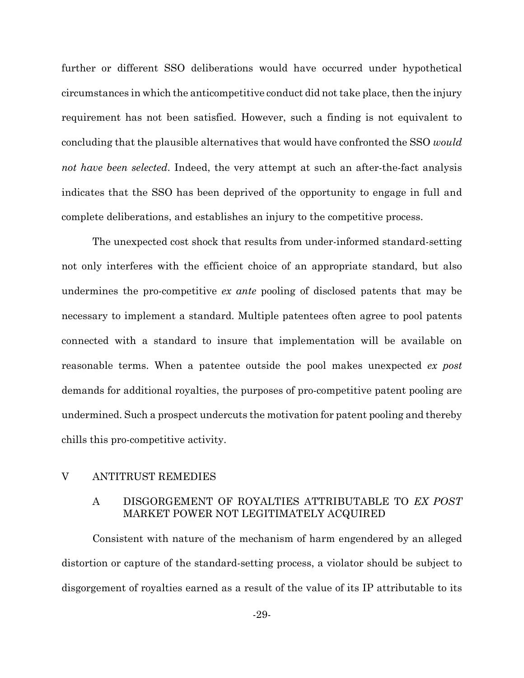further or different SSO deliberations would have occurred under hypothetical circumstances in which the anticompetitive conduct did not take place, then the injury requirement has not been satisfied. However, such a finding is not equivalent to concluding that the plausible alternatives that would have confronted the SSO would not have been selected. Indeed, the very attempt at such an after-the-fact analysis indicates that the SSO has been deprived of the opportunity to engage in full and complete deliberations, and establishes an injury to the competitive process.

The unexpected cost shock that results from under-informed standard-setting not only interferes with the efficient choice of an appropriate standard, but also undermines the pro-competitive ex ante pooling of disclosed patents that may be necessary to implement a standard. Multiple patentees often agree to pool patents connected with a standard to insure that implementation will be available on reasonable terms. When a patentee outside the pool makes unexpected ex post demands for additional royalties, the purposes of pro-competitive patent pooling are undermined. Such a prospect undercuts the motivation for patent pooling and thereby chills this pro-competitive activity.

#### **ANTITRUST REMEDIES**  $\rm V$

#### DISGORGEMENT OF ROYALTIES ATTRIBUTABLE TO EX POST A MARKET POWER NOT LEGITIMATELY ACQUIRED

Consistent with nature of the mechanism of harm engendered by an alleged distortion or capture of the standard-setting process, a violator should be subject to disgorgement of royalties earned as a result of the value of its IP attributable to its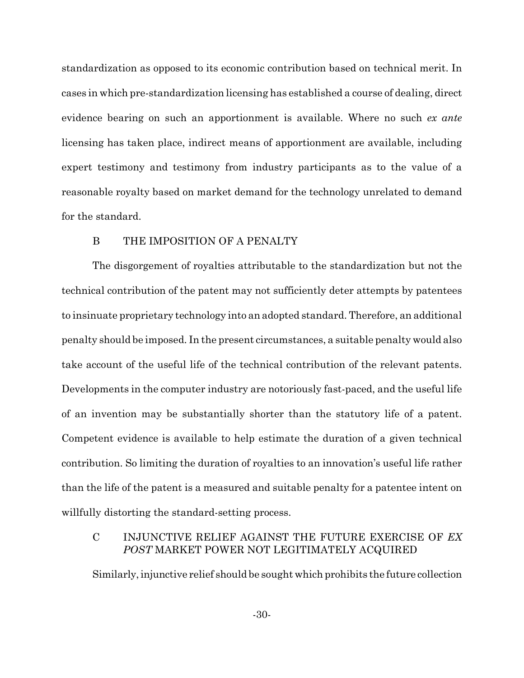standardization as opposed to its economic contribution based on technical merit. In cases in which pre-standardization licensing has established a course of dealing, direct evidence bearing on such an apportionment is available. Where no such ex ante licensing has taken place, indirect means of apportionment are available, including expert testimony and testimony from industry participants as to the value of a reasonable royalty based on market demand for the technology unrelated to demand for the standard.

#### $\mathbf{B}$ THE IMPOSITION OF A PENALTY

The disgorgement of royalties attributable to the standardization but not the technical contribution of the patent may not sufficiently deter attempts by patentees to insinuate proprietary technology into an adopted standard. Therefore, an additional penalty should be imposed. In the present circumstances, a suitable penalty would also take account of the useful life of the technical contribution of the relevant patents. Developments in the computer industry are notoriously fast-paced, and the useful life of an invention may be substantially shorter than the statutory life of a patent. Competent evidence is available to help estimate the duration of a given technical contribution. So limiting the duration of royalties to an innovation's useful life rather than the life of the patent is a measured and suitable penalty for a patentee intent on willfully distorting the standard-setting process.

#### $\mathbf C$ INJUNCTIVE RELIEF AGAINST THE FUTURE EXERCISE OF EX POST MARKET POWER NOT LEGITIMATELY ACQUIRED

Similarly, injunctive relief should be sought which prohibits the future collection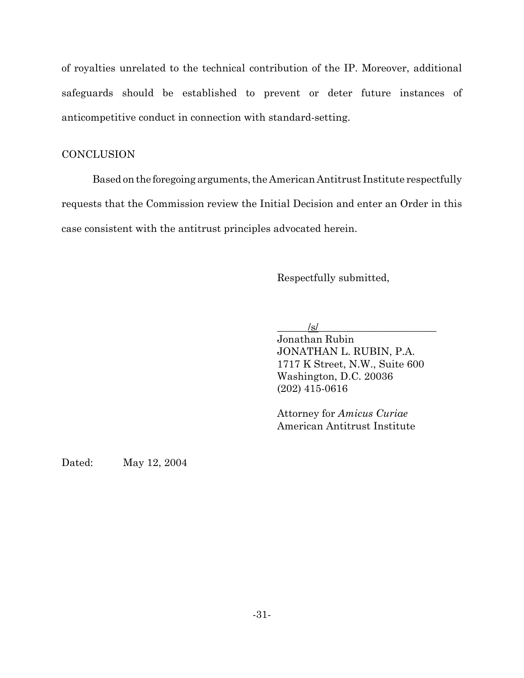of royalties unrelated to the technical contribution of the IP. Moreover, additional safeguards should be established to prevent or deter future instances of anticompetitive conduct in connection with standard-setting.

## **CONCLUSION**

Based on the foregoing arguments, the American Antitrust Institute respectfully requests that the Commission review the Initial Decision and enter an Order in this case consistent with the antitrust principles advocated herein.

Respectfully submitted,

 $\sqrt{s}$ 

Jonathan Rubin JONATHAN L. RUBIN, P.A. 1717 K Street, N.W., Suite 600 Washington, D.C. 20036  $(202)$  415-0616

Attorney for Amicus Curiae American Antitrust Institute

May 12, 2004 Dated: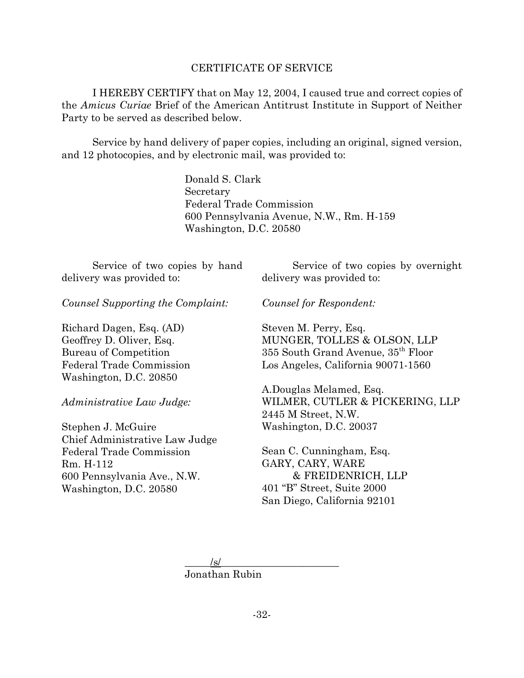### **CERTIFICATE OF SERVICE**

I HEREBY CERTIFY that on May 12, 2004, I caused true and correct copies of the Amicus Curiae Brief of the American Antitrust Institute in Support of Neither Party to be served as described below.

Service by hand delivery of paper copies, including an original, signed version, and 12 photocopies, and by electronic mail, was provided to:

> Donald S. Clark Secretary **Federal Trade Commission** 600 Pennsylvania Avenue, N.W., Rm. H-159 Washington, D.C. 20580

Service of two copies by hand delivery was provided to:

Service of two copies by overnight delivery was provided to:

Counsel Supporting the Complaint:

Richard Dagen, Esq. (AD) Geoffrey D. Oliver, Esq. Bureau of Competition Federal Trade Commission Washington, D.C. 20850

Administrative Law Judge:

Stephen J. McGuire Chief Administrative Law Judge Federal Trade Commission Rm. H-112 600 Pennsylvania Ave., N.W. Washington, D.C. 20580

Counsel for Respondent:

Steven M. Perry, Esq. MUNGER, TOLLES & OLSON, LLP 355 South Grand Avenue, 35<sup>th</sup> Floor Los Angeles, California 90071-1560

A.Douglas Melamed, Esq. WILMER, CUTLER & PICKERING, LLP 2445 M Street, N.W. Washington, D.C. 20037

Sean C. Cunningham, Esq. GARY, CARY, WARE & FREIDENRICH, LLP 401 "B" Street, Suite 2000 San Diego, California 92101

/s/ Jonathan Rubin